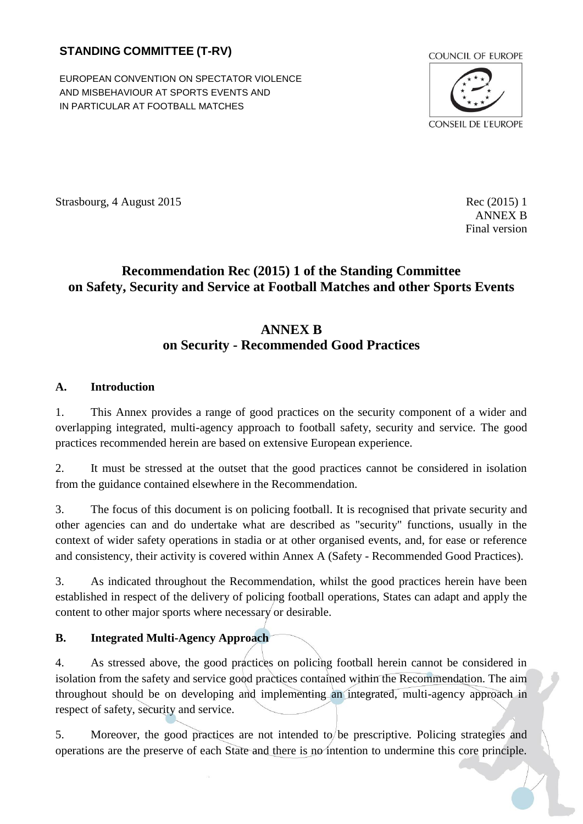## **STANDING COMMITTEE (T-RV)**

EUROPEAN CONVENTION ON SPECTATOR VIOLENCE AND MISBEHAVIOUR AT SPORTS EVENTS AND IN PARTICULAR AT FOOTBALL MATCHES



Strasbourg, 4 August 2015 Rec (2015) 1

ANNEX B Final version

# **Recommendation Rec (2015) 1 of the Standing Committee on Safety, Security and Service at Football Matches and other Sports Events**

# **ANNEX B on Security - Recommended Good Practices**

## <span id="page-0-0"></span>**A. Introduction**

1. This Annex provides a range of good practices on the security component of a wider and overlapping integrated, multi-agency approach to football safety, security and service. The good practices recommended herein are based on extensive European experience.

2. It must be stressed at the outset that the good practices cannot be considered in isolation from the guidance contained elsewhere in the Recommendation.

3. The focus of this document is on policing football. It is recognised that private security and other agencies can and do undertake what are described as "security" functions, usually in the context of wider safety operations in stadia or at other organised events, and, for ease or reference and consistency, their activity is covered within Annex A (Safety - Recommended Good Practices).

3. As indicated throughout the Recommendation, whilst the good practices herein have been established in respect of the delivery of policing football operations, States can adapt and apply the content to other major sports where necessary or desirable.

## <span id="page-0-1"></span>**B. Integrated Multi-Agency Approach**

4. As stressed above, the good practices on policing football herein cannot be considered in isolation from the safety and service good practices contained within the Recommendation. The aim throughout should be on developing and implementing an integrated, multi-agency approach in respect of safety, security and service.

5. Moreover, the good practices are not intended to be prescriptive. Policing strategies and operations are the preserve of each State and there is no intention to undermine this core principle.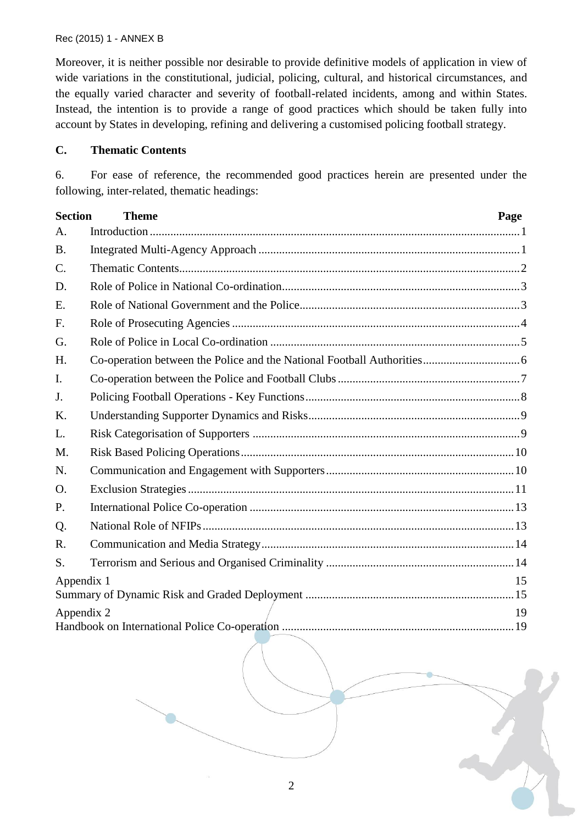Moreover, it is neither possible nor desirable to provide definitive models of application in view of wide variations in the constitutional, judicial, policing, cultural, and historical circumstances, and the equally varied character and severity of football-related incidents, among and within States. Instead, the intention is to provide a range of good practices which should be taken fully into account by States in developing, refining and delivering a customised policing football strategy.

#### <span id="page-1-0"></span>**C. Thematic Contents**

6. For ease of reference, the recommended good practices herein are presented under the following, inter-related, thematic headings:

| <b>Section</b>   | <b>Theme</b> | Page |
|------------------|--------------|------|
| $\mathsf{A}$ .   |              |      |
| <b>B.</b>        |              |      |
| $C$ .            |              |      |
| D.               |              |      |
| E.               |              |      |
| F.               |              |      |
| G.               |              |      |
| H.               |              |      |
| $\mathbf{I}$ .   |              |      |
| J.               |              |      |
| K.               |              |      |
| L.               |              |      |
| M.               |              |      |
| N.               |              |      |
| O.               |              |      |
| P.               |              |      |
| Q.               |              |      |
| R.               |              |      |
| S.               |              |      |
| Appendix 1<br>15 |              |      |
| Appendix 2<br>19 |              |      |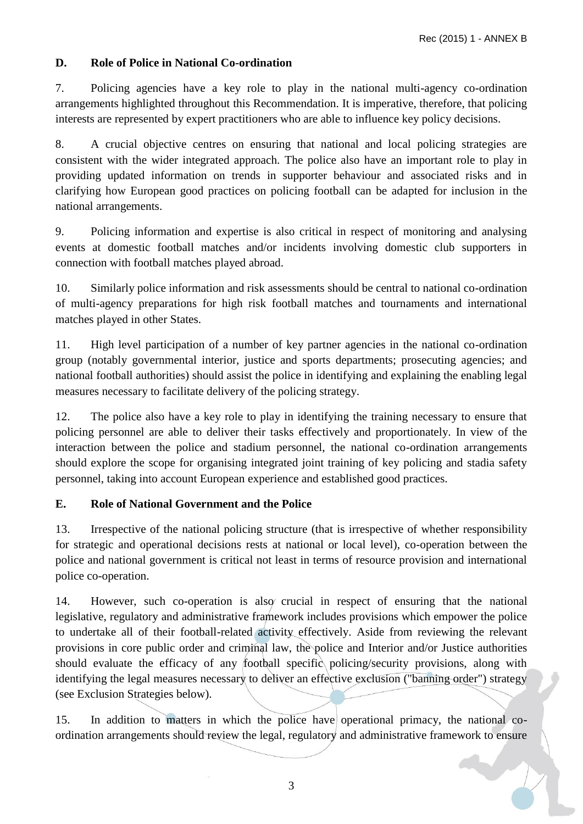## <span id="page-2-0"></span>**D. Role of Police in National Co-ordination**

7. Policing agencies have a key role to play in the national multi-agency co-ordination arrangements highlighted throughout this Recommendation. It is imperative, therefore, that policing interests are represented by expert practitioners who are able to influence key policy decisions.

8. A crucial objective centres on ensuring that national and local policing strategies are consistent with the wider integrated approach. The police also have an important role to play in providing updated information on trends in supporter behaviour and associated risks and in clarifying how European good practices on policing football can be adapted for inclusion in the national arrangements.

9. Policing information and expertise is also critical in respect of monitoring and analysing events at domestic football matches and/or incidents involving domestic club supporters in connection with football matches played abroad.

10. Similarly police information and risk assessments should be central to national co-ordination of multi-agency preparations for high risk football matches and tournaments and international matches played in other States.

11. High level participation of a number of key partner agencies in the national co-ordination group (notably governmental interior, justice and sports departments; prosecuting agencies; and national football authorities) should assist the police in identifying and explaining the enabling legal measures necessary to facilitate delivery of the policing strategy.

12. The police also have a key role to play in identifying the training necessary to ensure that policing personnel are able to deliver their tasks effectively and proportionately. In view of the interaction between the police and stadium personnel, the national co-ordination arrangements should explore the scope for organising integrated joint training of key policing and stadia safety personnel, taking into account European experience and established good practices.

## <span id="page-2-1"></span>**E. Role of National Government and the Police**

13. Irrespective of the national policing structure (that is irrespective of whether responsibility for strategic and operational decisions rests at national or local level), co-operation between the police and national government is critical not least in terms of resource provision and international police co-operation.

14. However, such co-operation is also crucial in respect of ensuring that the national legislative, regulatory and administrative framework includes provisions which empower the police to undertake all of their football-related activity effectively. Aside from reviewing the relevant provisions in core public order and criminal law, the police and Interior and/or Justice authorities should evaluate the efficacy of any football specific policing/security provisions, along with identifying the legal measures necessary to deliver an effective exclusion ("banning order") strategy (see Exclusion Strategies below).

15. In addition to matters in which the police have operational primacy, the national coordination arrangements should review the legal, regulatory and administrative framework to ensure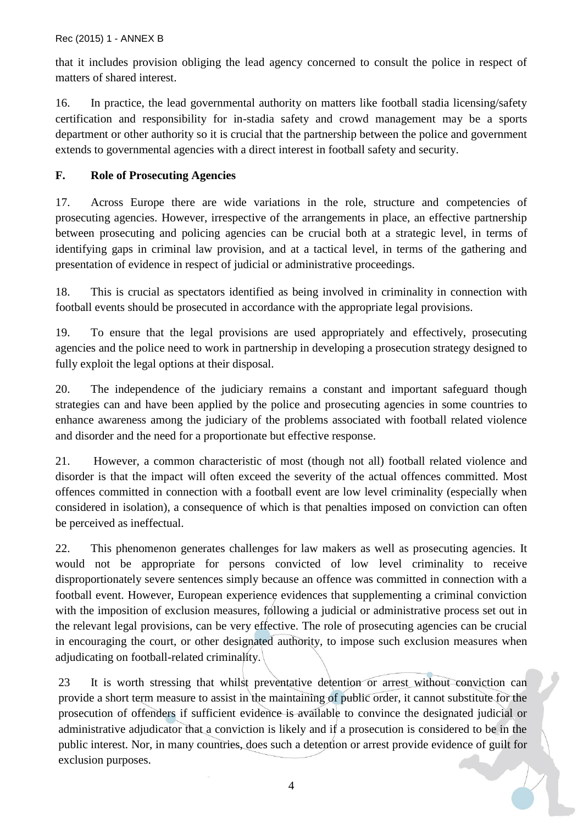that it includes provision obliging the lead agency concerned to consult the police in respect of matters of shared interest.

16. In practice, the lead governmental authority on matters like football stadia licensing/safety certification and responsibility for in-stadia safety and crowd management may be a sports department or other authority so it is crucial that the partnership between the police and government extends to governmental agencies with a direct interest in football safety and security.

## <span id="page-3-0"></span>**F. Role of Prosecuting Agencies**

17. Across Europe there are wide variations in the role, structure and competencies of prosecuting agencies. However, irrespective of the arrangements in place, an effective partnership between prosecuting and policing agencies can be crucial both at a strategic level, in terms of identifying gaps in criminal law provision, and at a tactical level, in terms of the gathering and presentation of evidence in respect of judicial or administrative proceedings.

18. This is crucial as spectators identified as being involved in criminality in connection with football events should be prosecuted in accordance with the appropriate legal provisions.

19. To ensure that the legal provisions are used appropriately and effectively, prosecuting agencies and the police need to work in partnership in developing a prosecution strategy designed to fully exploit the legal options at their disposal.

20. The independence of the judiciary remains a constant and important safeguard though strategies can and have been applied by the police and prosecuting agencies in some countries to enhance awareness among the judiciary of the problems associated with football related violence and disorder and the need for a proportionate but effective response.

21. However, a common characteristic of most (though not all) football related violence and disorder is that the impact will often exceed the severity of the actual offences committed. Most offences committed in connection with a football event are low level criminality (especially when considered in isolation), a consequence of which is that penalties imposed on conviction can often be perceived as ineffectual.

22. This phenomenon generates challenges for law makers as well as prosecuting agencies. It would not be appropriate for persons convicted of low level criminality to receive disproportionately severe sentences simply because an offence was committed in connection with a football event. However, European experience evidences that supplementing a criminal conviction with the imposition of exclusion measures, following a judicial or administrative process set out in the relevant legal provisions, can be very effective. The role of prosecuting agencies can be crucial in encouraging the court, or other designated authority, to impose such exclusion measures when adjudicating on football-related criminality.

23 It is worth stressing that whilst preventative detention or arrest without conviction can provide a short term measure to assist in the maintaining of public order, it cannot substitute for the prosecution of offenders if sufficient evidence is available to convince the designated judicial or administrative adjudicator that a conviction is likely and if a prosecution is considered to be in the public interest. Nor, in many countries, does such a detention or arrest provide evidence of guilt for exclusion purposes.

4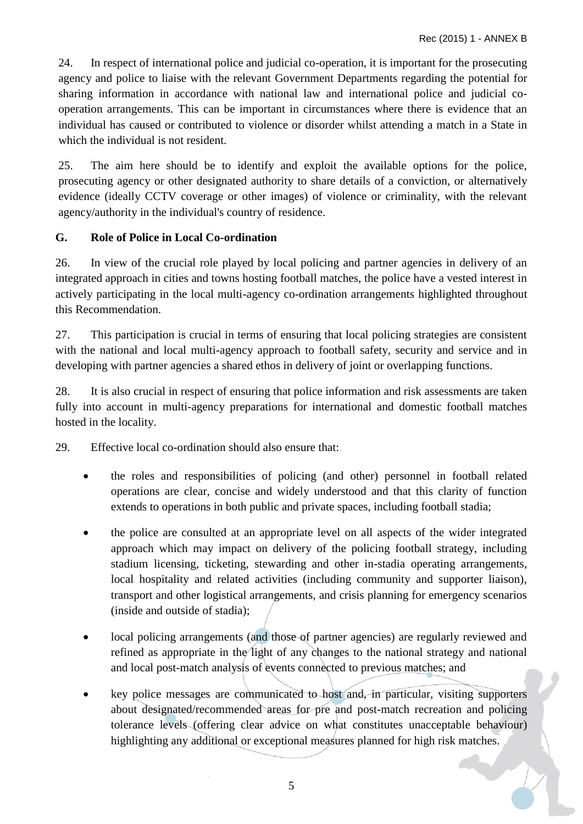24. In respect of international police and judicial co-operation, it is important for the prosecuting agency and police to liaise with the relevant Government Departments regarding the potential for sharing information in accordance with national law and international police and judicial cooperation arrangements. This can be important in circumstances where there is evidence that an individual has caused or contributed to violence or disorder whilst attending a match in a State in which the individual is not resident.

25. The aim here should be to identify and exploit the available options for the police, prosecuting agency or other designated authority to share details of a conviction, or alternatively evidence (ideally CCTV coverage or other images) of violence or criminality, with the relevant agency/authority in the individual's country of residence.

## <span id="page-4-0"></span>**G. Role of Police in Local Co-ordination**

26. In view of the crucial role played by local policing and partner agencies in delivery of an integrated approach in cities and towns hosting football matches, the police have a vested interest in actively participating in the local multi-agency co-ordination arrangements highlighted throughout this Recommendation.

27. This participation is crucial in terms of ensuring that local policing strategies are consistent with the national and local multi-agency approach to football safety, security and service and in developing with partner agencies a shared ethos in delivery of joint or overlapping functions.

28. It is also crucial in respect of ensuring that police information and risk assessments are taken fully into account in multi-agency preparations for international and domestic football matches hosted in the locality.

29. Effective local co-ordination should also ensure that:

- the roles and responsibilities of policing (and other) personnel in football related operations are clear, concise and widely understood and that this clarity of function extends to operations in both public and private spaces, including football stadia;
- the police are consulted at an appropriate level on all aspects of the wider integrated approach which may impact on delivery of the policing football strategy, including stadium licensing, ticketing, stewarding and other in-stadia operating arrangements, local hospitality and related activities (including community and supporter liaison), transport and other logistical arrangements, and crisis planning for emergency scenarios (inside and outside of stadia);
- local policing arrangements (and those of partner agencies) are regularly reviewed and refined as appropriate in the light of any changes to the national strategy and national and local post-match analysis of events connected to previous matches; and
- key police messages are communicated to host and, in particular, visiting supporters about designated/recommended areas for pre and post-match recreation and policing tolerance levels (offering clear advice on what constitutes unacceptable behaviour) highlighting any additional or exceptional measures planned for high risk matches.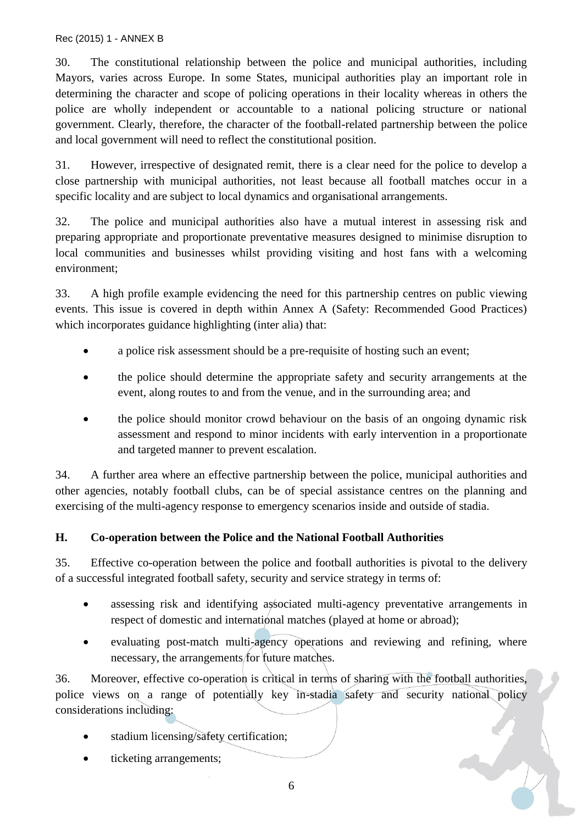30. The constitutional relationship between the police and municipal authorities, including Mayors, varies across Europe. In some States, municipal authorities play an important role in determining the character and scope of policing operations in their locality whereas in others the police are wholly independent or accountable to a national policing structure or national government. Clearly, therefore, the character of the football-related partnership between the police and local government will need to reflect the constitutional position.

31. However, irrespective of designated remit, there is a clear need for the police to develop a close partnership with municipal authorities, not least because all football matches occur in a specific locality and are subject to local dynamics and organisational arrangements.

32. The police and municipal authorities also have a mutual interest in assessing risk and preparing appropriate and proportionate preventative measures designed to minimise disruption to local communities and businesses whilst providing visiting and host fans with a welcoming environment;

33. A high profile example evidencing the need for this partnership centres on public viewing events. This issue is covered in depth within Annex A (Safety: Recommended Good Practices) which incorporates guidance highlighting (inter alia) that:

- a police risk assessment should be a pre-requisite of hosting such an event:
- the police should determine the appropriate safety and security arrangements at the event, along routes to and from the venue, and in the surrounding area; and
- the police should monitor crowd behaviour on the basis of an ongoing dynamic risk assessment and respond to minor incidents with early intervention in a proportionate and targeted manner to prevent escalation.

34. A further area where an effective partnership between the police, municipal authorities and other agencies, notably football clubs, can be of special assistance centres on the planning and exercising of the multi-agency response to emergency scenarios inside and outside of stadia.

## <span id="page-5-0"></span>**H. Co-operation between the Police and the National Football Authorities**

35. Effective co-operation between the police and football authorities is pivotal to the delivery of a successful integrated football safety, security and service strategy in terms of:

- assessing risk and identifying associated multi-agency preventative arrangements in respect of domestic and international matches (played at home or abroad);
- evaluating post-match multi-agency operations and reviewing and refining, where necessary, the arrangements for future matches.

36. Moreover, effective co-operation is critical in terms of sharing with the football authorities, police views on a range of potentially key in-stadia safety and security national policy considerations including: 

- stadium licensing/safety certification;
- ticketing arrangements;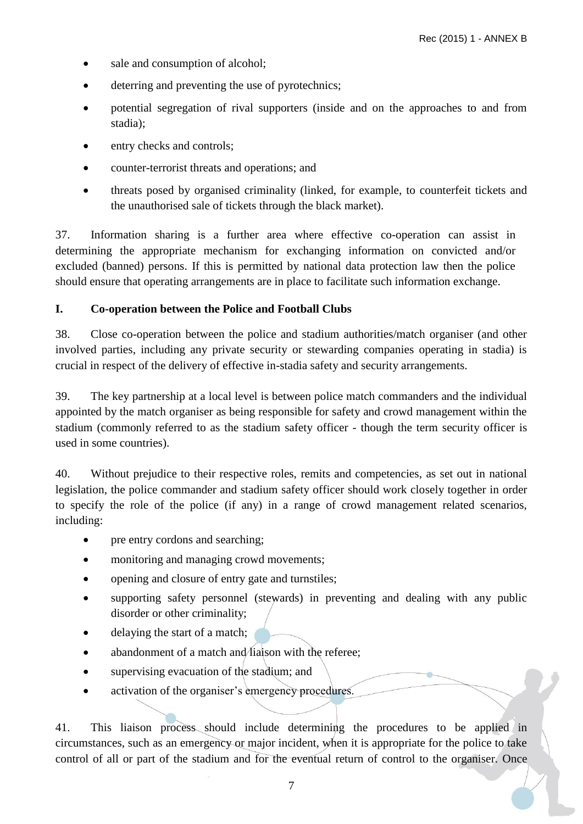- sale and consumption of alcohol;
- deterring and preventing the use of pyrotechnics;
- potential segregation of rival supporters (inside and on the approaches to and from stadia);
- entry checks and controls;
- counter-terrorist threats and operations; and
- threats posed by organised criminality (linked, for example, to counterfeit tickets and the unauthorised sale of tickets through the black market).

37. Information sharing is a further area where effective co-operation can assist in determining the appropriate mechanism for exchanging information on convicted and/or excluded (banned) persons. If this is permitted by national data protection law then the police should ensure that operating arrangements are in place to facilitate such information exchange.

## <span id="page-6-0"></span>**I. Co-operation between the Police and Football Clubs**

38. Close co-operation between the police and stadium authorities/match organiser (and other involved parties, including any private security or stewarding companies operating in stadia) is crucial in respect of the delivery of effective in-stadia safety and security arrangements.

39. The key partnership at a local level is between police match commanders and the individual appointed by the match organiser as being responsible for safety and crowd management within the stadium (commonly referred to as the stadium safety officer - though the term security officer is used in some countries).

40. Without prejudice to their respective roles, remits and competencies, as set out in national legislation, the police commander and stadium safety officer should work closely together in order to specify the role of the police (if any) in a range of crowd management related scenarios, including:

- pre entry cordons and searching;
- monitoring and managing crowd movements;
- opening and closure of entry gate and turnstiles;
- supporting safety personnel (stewards) in preventing and dealing with any public disorder or other criminality;
- delaying the start of a match;
- $\bullet$  abandonment of a match and *liaison* with the referee;
- supervising evacuation of the stadium; and
- activation of the organiser's emergency procedures.

41. This liaison process should include determining the procedures to be applied in circumstances, such as an emergency or major incident, when it is appropriate for the police to take control of all or part of the stadium and for the eventual return of control to the organiser. Once

7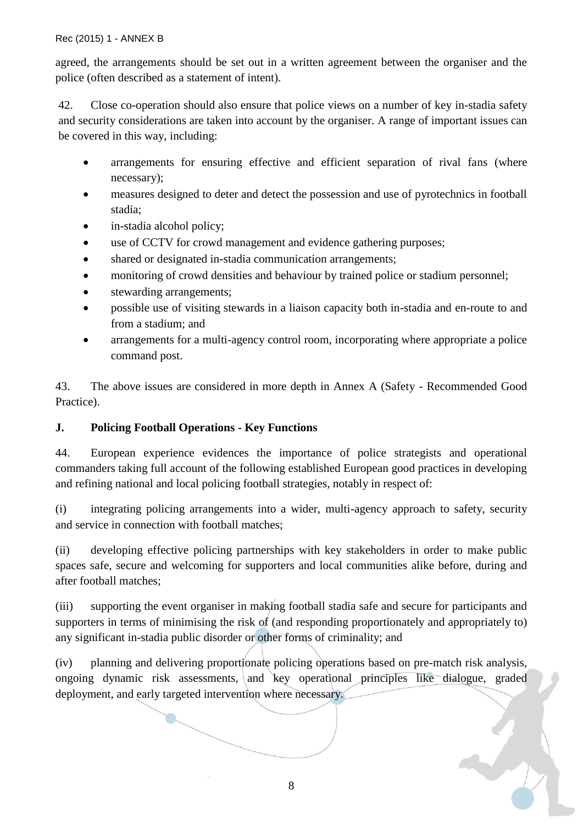agreed, the arrangements should be set out in a written agreement between the organiser and the police (often described as a statement of intent).

42. Close co-operation should also ensure that police views on a number of key in-stadia safety and security considerations are taken into account by the organiser. A range of important issues can be covered in this way, including:

- arrangements for ensuring effective and efficient separation of rival fans (where necessary);
- measures designed to deter and detect the possession and use of pyrotechnics in football stadia;
- in-stadia alcohol policy;
- use of CCTV for crowd management and evidence gathering purposes;
- shared or designated in-stadia communication arrangements;
- monitoring of crowd densities and behaviour by trained police or stadium personnel;
- stewarding arrangements;
- possible use of visiting stewards in a liaison capacity both in-stadia and en-route to and from a stadium; and
- arrangements for a multi-agency control room, incorporating where appropriate a police command post.

43. The above issues are considered in more depth in Annex A (Safety - Recommended Good Practice).

## <span id="page-7-0"></span>**J. Policing Football Operations - Key Functions**

44. European experience evidences the importance of police strategists and operational commanders taking full account of the following established European good practices in developing and refining national and local policing football strategies, notably in respect of:

(i) integrating policing arrangements into a wider, multi-agency approach to safety, security and service in connection with football matches;

(ii) developing effective policing partnerships with key stakeholders in order to make public spaces safe, secure and welcoming for supporters and local communities alike before, during and after football matches;

(iii) supporting the event organiser in making football stadia safe and secure for participants and supporters in terms of minimising the risk of (and responding proportionately and appropriately to) any significant in-stadia public disorder or other forms of criminality; and

(iv) planning and delivering proportionate policing operations based on pre-match risk analysis, ongoing dynamic risk assessments, and key operational principles like dialogue, graded deployment, and early targeted intervention where necessary.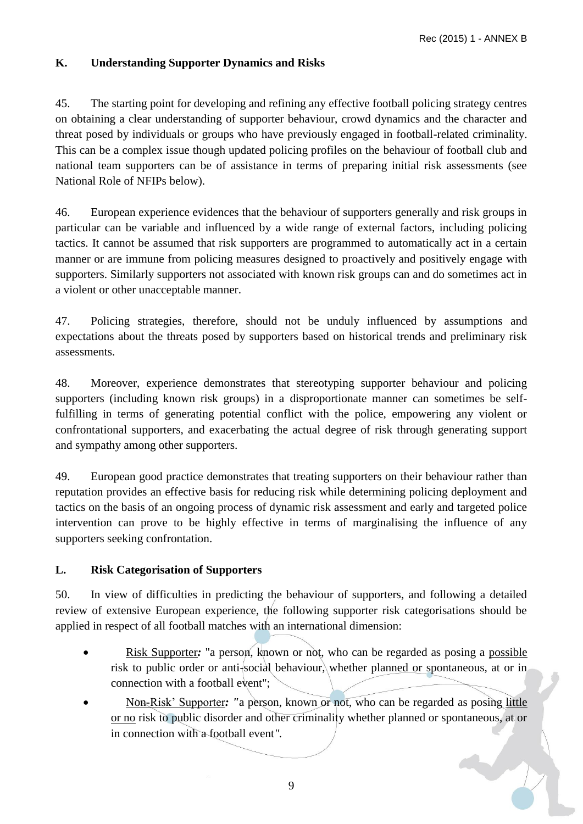## <span id="page-8-0"></span>**K. Understanding Supporter Dynamics and Risks**

45. The starting point for developing and refining any effective football policing strategy centres on obtaining a clear understanding of supporter behaviour, crowd dynamics and the character and threat posed by individuals or groups who have previously engaged in football-related criminality. This can be a complex issue though updated policing profiles on the behaviour of football club and national team supporters can be of assistance in terms of preparing initial risk assessments (see National Role of NFIPs below).

46. European experience evidences that the behaviour of supporters generally and risk groups in particular can be variable and influenced by a wide range of external factors, including policing tactics. It cannot be assumed that risk supporters are programmed to automatically act in a certain manner or are immune from policing measures designed to proactively and positively engage with supporters. Similarly supporters not associated with known risk groups can and do sometimes act in a violent or other unacceptable manner.

47. Policing strategies, therefore, should not be unduly influenced by assumptions and expectations about the threats posed by supporters based on historical trends and preliminary risk assessments.

48. Moreover, experience demonstrates that stereotyping supporter behaviour and policing supporters (including known risk groups) in a disproportionate manner can sometimes be selffulfilling in terms of generating potential conflict with the police, empowering any violent or confrontational supporters, and exacerbating the actual degree of risk through generating support and sympathy among other supporters.

49. European good practice demonstrates that treating supporters on their behaviour rather than reputation provides an effective basis for reducing risk while determining policing deployment and tactics on the basis of an ongoing process of dynamic risk assessment and early and targeted police intervention can prove to be highly effective in terms of marginalising the influence of any supporters seeking confrontation.

## <span id="page-8-1"></span>**L. Risk Categorisation of Supporters**

50. In view of difficulties in predicting the behaviour of supporters, and following a detailed review of extensive European experience, the following supporter risk categorisations should be applied in respect of all football matches with an international dimension:

- Risk Supporter*:* "a person, known or not, who can be regarded as posing a possible risk to public order or anti-social behaviour, whether planned or spontaneous, at or in connection with a football event";
- Non-Risk' Supporter: "a person, known or not, who can be regarded as posing little or no risk to public disorder and other criminality whether planned or spontaneous, at or in connection with a football event*".*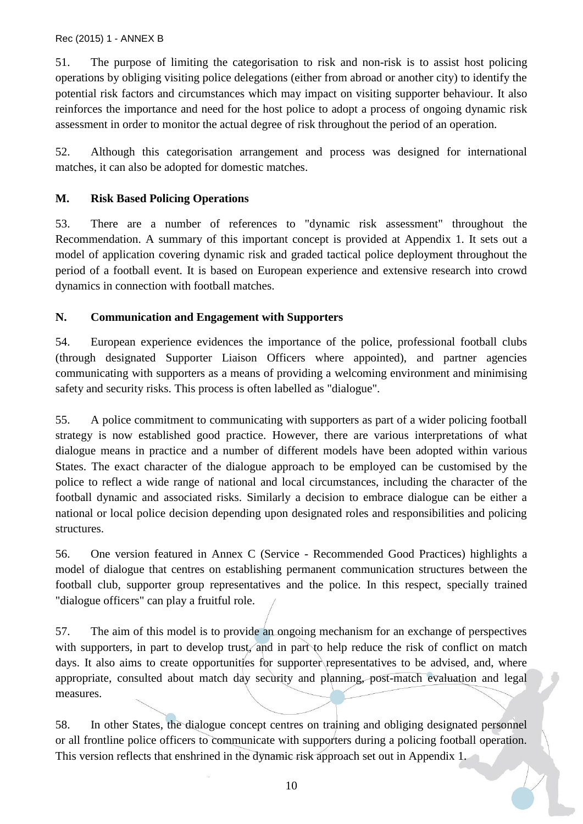51. The purpose of limiting the categorisation to risk and non-risk is to assist host policing operations by obliging visiting police delegations (either from abroad or another city) to identify the potential risk factors and circumstances which may impact on visiting supporter behaviour. It also reinforces the importance and need for the host police to adopt a process of ongoing dynamic risk assessment in order to monitor the actual degree of risk throughout the period of an operation.

52. Although this categorisation arrangement and process was designed for international matches, it can also be adopted for domestic matches.

## <span id="page-9-0"></span>**M. Risk Based Policing Operations**

53. There are a number of references to "dynamic risk assessment" throughout the Recommendation. A summary of this important concept is provided at Appendix 1. It sets out a model of application covering dynamic risk and graded tactical police deployment throughout the period of a football event. It is based on European experience and extensive research into crowd dynamics in connection with football matches.

## <span id="page-9-1"></span>**N. Communication and Engagement with Supporters**

54. European experience evidences the importance of the police, professional football clubs (through designated Supporter Liaison Officers where appointed), and partner agencies communicating with supporters as a means of providing a welcoming environment and minimising safety and security risks. This process is often labelled as "dialogue".

55. A police commitment to communicating with supporters as part of a wider policing football strategy is now established good practice. However, there are various interpretations of what dialogue means in practice and a number of different models have been adopted within various States. The exact character of the dialogue approach to be employed can be customised by the police to reflect a wide range of national and local circumstances, including the character of the football dynamic and associated risks. Similarly a decision to embrace dialogue can be either a national or local police decision depending upon designated roles and responsibilities and policing structures.

56. One version featured in Annex C (Service - Recommended Good Practices) highlights a model of dialogue that centres on establishing permanent communication structures between the football club, supporter group representatives and the police. In this respect, specially trained "dialogue officers" can play a fruitful role.

57. The aim of this model is to provide an ongoing mechanism for an exchange of perspectives with supporters, in part to develop trust, and in part to help reduce the risk of conflict on match days. It also aims to create opportunities for supporter representatives to be advised, and, where appropriate, consulted about match day security and planning, post-match evaluation and legal measures.

58. In other States, the dialogue concept centres on training and obliging designated personnel or all frontline police officers to communicate with supporters during a policing football operation. This version reflects that enshrined in the dynamic risk approach set out in Appendix 1.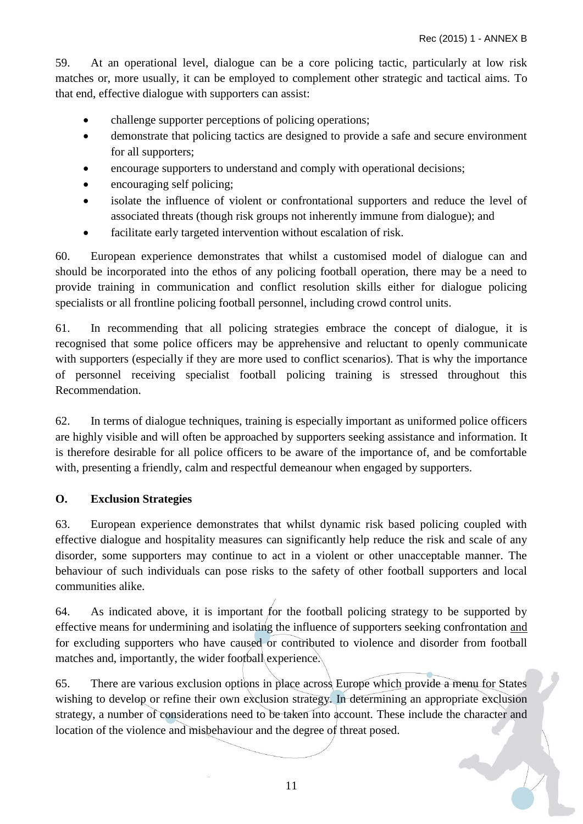59. At an operational level, dialogue can be a core policing tactic, particularly at low risk matches or, more usually, it can be employed to complement other strategic and tactical aims. To that end, effective dialogue with supporters can assist:

- challenge supporter perceptions of policing operations;
- demonstrate that policing tactics are designed to provide a safe and secure environment for all supporters;
- encourage supporters to understand and comply with operational decisions;
- encouraging self policing;
- isolate the influence of violent or confrontational supporters and reduce the level of associated threats (though risk groups not inherently immune from dialogue); and
- facilitate early targeted intervention without escalation of risk.

60. European experience demonstrates that whilst a customised model of dialogue can and should be incorporated into the ethos of any policing football operation, there may be a need to provide training in communication and conflict resolution skills either for dialogue policing specialists or all frontline policing football personnel, including crowd control units.

61. In recommending that all policing strategies embrace the concept of dialogue, it is recognised that some police officers may be apprehensive and reluctant to openly communicate with supporters (especially if they are more used to conflict scenarios). That is why the importance of personnel receiving specialist football policing training is stressed throughout this Recommendation.

62. In terms of dialogue techniques, training is especially important as uniformed police officers are highly visible and will often be approached by supporters seeking assistance and information. It is therefore desirable for all police officers to be aware of the importance of, and be comfortable with, presenting a friendly, calm and respectful demeanour when engaged by supporters.

## <span id="page-10-0"></span>**O. Exclusion Strategies**

63. European experience demonstrates that whilst dynamic risk based policing coupled with effective dialogue and hospitality measures can significantly help reduce the risk and scale of any disorder, some supporters may continue to act in a violent or other unacceptable manner. The behaviour of such individuals can pose risks to the safety of other football supporters and local communities alike.

64. As indicated above, it is important for the football policing strategy to be supported by effective means for undermining and isolating the influence of supporters seeking confrontation and for excluding supporters who have caused or contributed to violence and disorder from football matches and, importantly, the wider football experience.

65. There are various exclusion options in place across Europe which provide a menu for States wishing to develop or refine their own exclusion strategy. In determining an appropriate exclusion strategy, a number of considerations need to be taken into account. These include the character and location of the violence and misbehaviour and the degree of threat posed.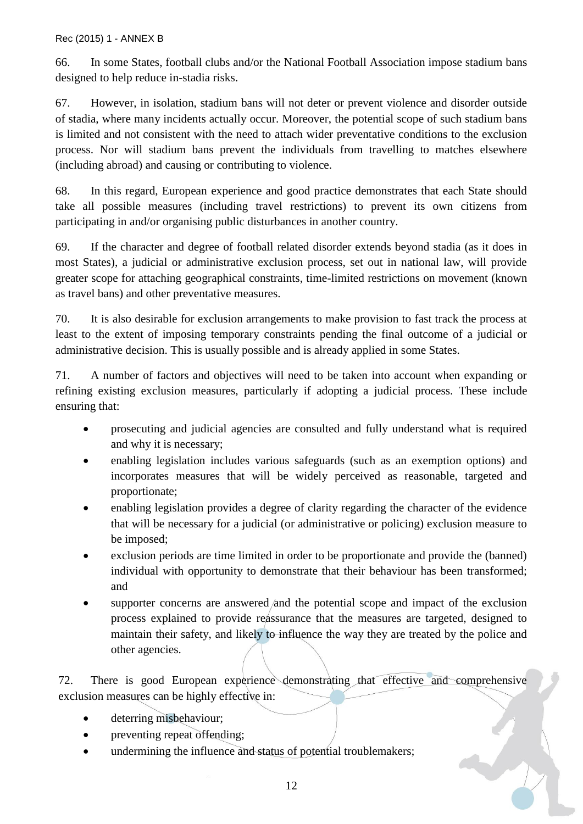66. In some States, football clubs and/or the National Football Association impose stadium bans designed to help reduce in-stadia risks.

67. However, in isolation, stadium bans will not deter or prevent violence and disorder outside of stadia, where many incidents actually occur. Moreover, the potential scope of such stadium bans is limited and not consistent with the need to attach wider preventative conditions to the exclusion process. Nor will stadium bans prevent the individuals from travelling to matches elsewhere (including abroad) and causing or contributing to violence.

68. In this regard, European experience and good practice demonstrates that each State should take all possible measures (including travel restrictions) to prevent its own citizens from participating in and/or organising public disturbances in another country.

69. If the character and degree of football related disorder extends beyond stadia (as it does in most States), a judicial or administrative exclusion process, set out in national law, will provide greater scope for attaching geographical constraints, time-limited restrictions on movement (known as travel bans) and other preventative measures.

70. It is also desirable for exclusion arrangements to make provision to fast track the process at least to the extent of imposing temporary constraints pending the final outcome of a judicial or administrative decision. This is usually possible and is already applied in some States.

71. A number of factors and objectives will need to be taken into account when expanding or refining existing exclusion measures, particularly if adopting a judicial process. These include ensuring that:

- prosecuting and judicial agencies are consulted and fully understand what is required and why it is necessary;
- enabling legislation includes various safeguards (such as an exemption options) and incorporates measures that will be widely perceived as reasonable, targeted and proportionate;
- enabling legislation provides a degree of clarity regarding the character of the evidence that will be necessary for a judicial (or administrative or policing) exclusion measure to be imposed;
- exclusion periods are time limited in order to be proportionate and provide the (banned) individual with opportunity to demonstrate that their behaviour has been transformed; and
- supporter concerns are answered and the potential scope and impact of the exclusion process explained to provide reassurance that the measures are targeted, designed to maintain their safety, and likely to influence the way they are treated by the police and other agencies.

72. There is good European experience demonstrating that effective and comprehensive exclusion measures can be highly effective in:

- deterring misbehaviour;
- preventing repeat offending;
- undermining the influence and status of potential troublemakers;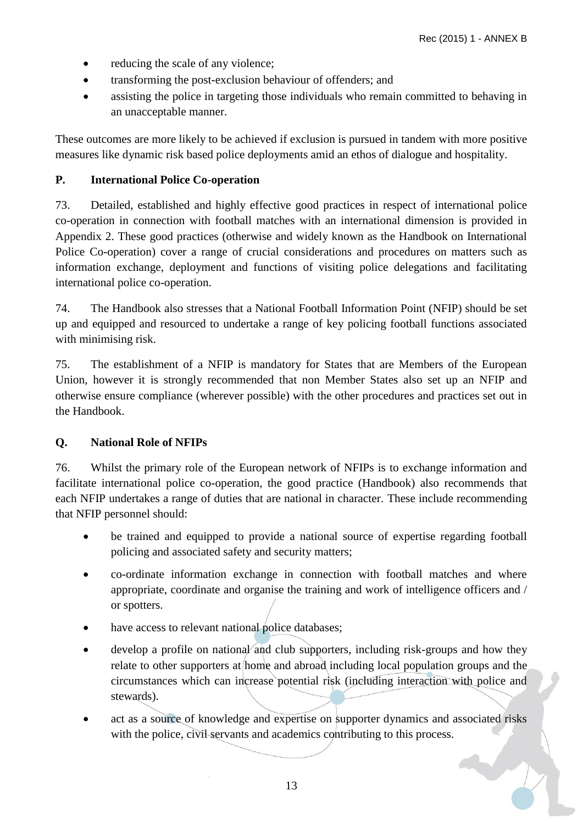- reducing the scale of any violence;
- transforming the post-exclusion behaviour of offenders; and
- assisting the police in targeting those individuals who remain committed to behaving in an unacceptable manner.

These outcomes are more likely to be achieved if exclusion is pursued in tandem with more positive measures like dynamic risk based police deployments amid an ethos of dialogue and hospitality.

## <span id="page-12-0"></span>**P. International Police Co-operation**

73. Detailed, established and highly effective good practices in respect of international police co-operation in connection with football matches with an international dimension is provided in Appendix 2. These good practices (otherwise and widely known as the Handbook on International Police Co-operation) cover a range of crucial considerations and procedures on matters such as information exchange, deployment and functions of visiting police delegations and facilitating international police co-operation.

74. The Handbook also stresses that a National Football Information Point (NFIP) should be set up and equipped and resourced to undertake a range of key policing football functions associated with minimising risk.

75. The establishment of a NFIP is mandatory for States that are Members of the European Union, however it is strongly recommended that non Member States also set up an NFIP and otherwise ensure compliance (wherever possible) with the other procedures and practices set out in the Handbook.

## <span id="page-12-1"></span>**Q. National Role of NFIPs**

76. Whilst the primary role of the European network of NFIPs is to exchange information and facilitate international police co-operation, the good practice (Handbook) also recommends that each NFIP undertakes a range of duties that are national in character. These include recommending that NFIP personnel should:

- be trained and equipped to provide a national source of expertise regarding football policing and associated safety and security matters;
- co-ordinate information exchange in connection with football matches and where appropriate, coordinate and organise the training and work of intelligence officers and / or spotters.
- have access to relevant national police databases;
- develop a profile on national and club supporters, including risk-groups and how they relate to other supporters at home and abroad including local population groups and the circumstances which can increase potential risk (including interaction with police and stewards).
- act as a source of knowledge and expertise on supporter dynamics and associated risks with the police, civil servants and academics contributing to this process.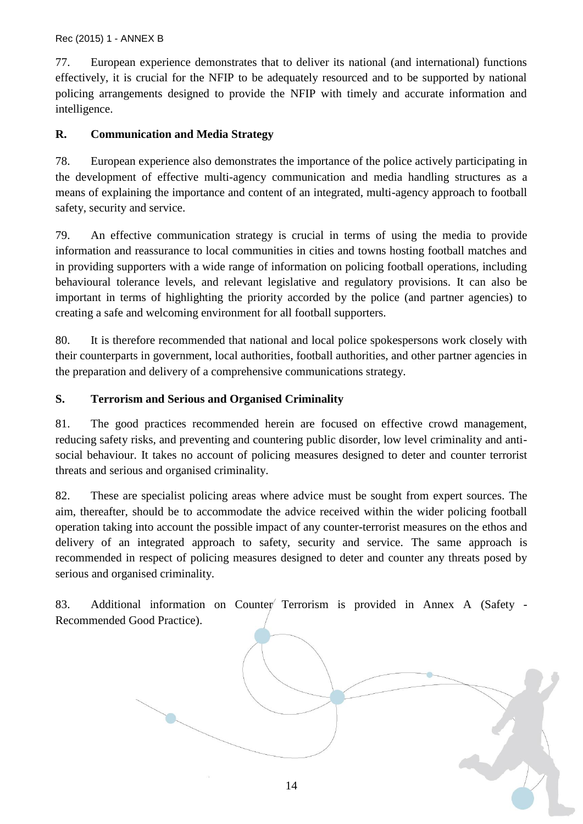77. European experience demonstrates that to deliver its national (and international) functions effectively, it is crucial for the NFIP to be adequately resourced and to be supported by national policing arrangements designed to provide the NFIP with timely and accurate information and intelligence.

## <span id="page-13-0"></span>**R. Communication and Media Strategy**

78. European experience also demonstrates the importance of the police actively participating in the development of effective multi-agency communication and media handling structures as a means of explaining the importance and content of an integrated, multi-agency approach to football safety, security and service.

79. An effective communication strategy is crucial in terms of using the media to provide information and reassurance to local communities in cities and towns hosting football matches and in providing supporters with a wide range of information on policing football operations, including behavioural tolerance levels, and relevant legislative and regulatory provisions. It can also be important in terms of highlighting the priority accorded by the police (and partner agencies) to creating a safe and welcoming environment for all football supporters.

80. It is therefore recommended that national and local police spokespersons work closely with their counterparts in government, local authorities, football authorities, and other partner agencies in the preparation and delivery of a comprehensive communications strategy.

## <span id="page-13-1"></span>**S. Terrorism and Serious and Organised Criminality**

81. The good practices recommended herein are focused on effective crowd management, reducing safety risks, and preventing and countering public disorder, low level criminality and antisocial behaviour. It takes no account of policing measures designed to deter and counter terrorist threats and serious and organised criminality.

82. These are specialist policing areas where advice must be sought from expert sources. The aim, thereafter, should be to accommodate the advice received within the wider policing football operation taking into account the possible impact of any counter-terrorist measures on the ethos and delivery of an integrated approach to safety, security and service. The same approach is recommended in respect of policing measures designed to deter and counter any threats posed by serious and organised criminality.

83. Additional information on Counter Terrorism is provided in Annex A (Safety -Recommended Good Practice).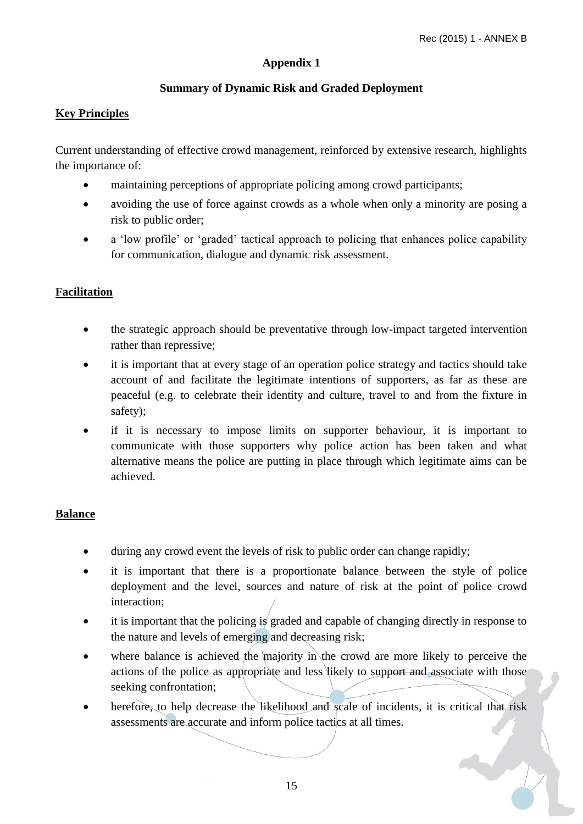## **Appendix 1**

## **Summary of Dynamic Risk and Graded Deployment**

#### <span id="page-14-1"></span><span id="page-14-0"></span>**Key Principles**

Current understanding of effective crowd management, reinforced by extensive research, highlights the importance of:

- maintaining perceptions of appropriate policing among crowd participants;
- avoiding the use of force against crowds as a whole when only a minority are posing a risk to public order;
- a 'low profile' or 'graded' tactical approach to policing that enhances police capability for communication, dialogue and dynamic risk assessment.

## **Facilitation**

- the strategic approach should be preventative through low-impact targeted intervention rather than repressive;
- it is important that at every stage of an operation police strategy and tactics should take account of and facilitate the legitimate intentions of supporters, as far as these are peaceful (e.g. to celebrate their identity and culture, travel to and from the fixture in safety);
- if it is necessary to impose limits on supporter behaviour, it is important to communicate with those supporters why police action has been taken and what alternative means the police are putting in place through which legitimate aims can be achieved.

## **Balance**

- during any crowd event the levels of risk to public order can change rapidly;
- it is important that there is a proportionate balance between the style of police deployment and the level, sources and nature of risk at the point of police crowd interaction;
- it is important that the policing is graded and capable of changing directly in response to the nature and levels of emerging and decreasing risk;
- $\bullet$  where balance is achieved the majority in the crowd are more likely to perceive the actions of the police as appropriate and less likely to support and associate with those seeking confrontation;
- herefore, to help decrease the likelihood and scale of incidents, it is critical that risk assessments are accurate and inform police tactics at all times.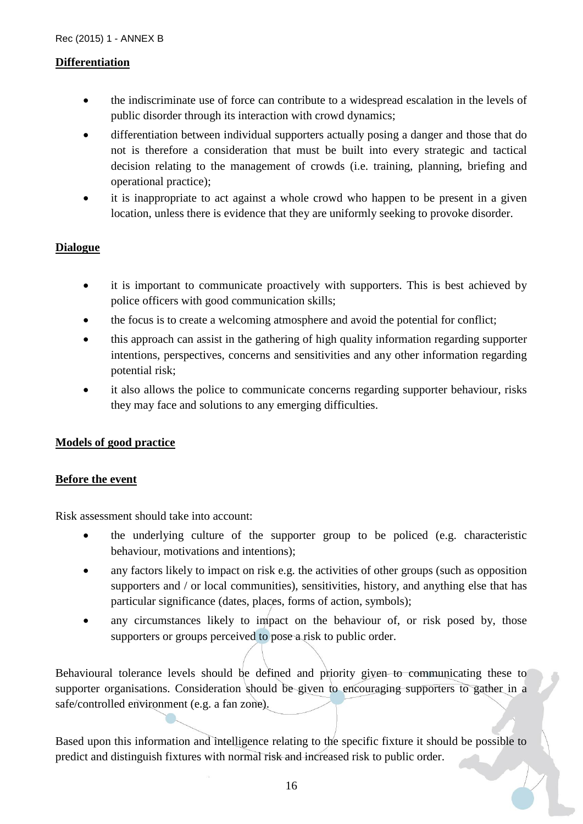#### **Differentiation**

- the indiscriminate use of force can contribute to a widespread escalation in the levels of public disorder through its interaction with crowd dynamics;
- differentiation between individual supporters actually posing a danger and those that do not is therefore a consideration that must be built into every strategic and tactical decision relating to the management of crowds (i.e. training, planning, briefing and operational practice);
- it is inappropriate to act against a whole crowd who happen to be present in a given location, unless there is evidence that they are uniformly seeking to provoke disorder.

## **Dialogue**

- it is important to communicate proactively with supporters. This is best achieved by police officers with good communication skills;
- the focus is to create a welcoming atmosphere and avoid the potential for conflict;
- this approach can assist in the gathering of high quality information regarding supporter intentions, perspectives, concerns and sensitivities and any other information regarding potential risk;
- it also allows the police to communicate concerns regarding supporter behaviour, risks they may face and solutions to any emerging difficulties.

## **Models of good practice**

#### **Before the event**

Risk assessment should take into account:

- the underlying culture of the supporter group to be policed (e.g. characteristic behaviour, motivations and intentions);
- any factors likely to impact on risk e.g. the activities of other groups (such as opposition supporters and / or local communities), sensitivities, history, and anything else that has particular significance (dates, places, forms of action, symbols);
- any circumstances likely to impact on the behaviour of, or risk posed by, those supporters or groups perceived to pose a risk to public order.

Behavioural tolerance levels should be defined and priority given to communicating these to supporter organisations. Consideration should be given to encouraging supporters to gather in a safe/controlled environment (e.g. a fan zone).

Based upon this information and intelligence relating to the specific fixture it should be possible to predict and distinguish fixtures with normal risk and increased risk to public order.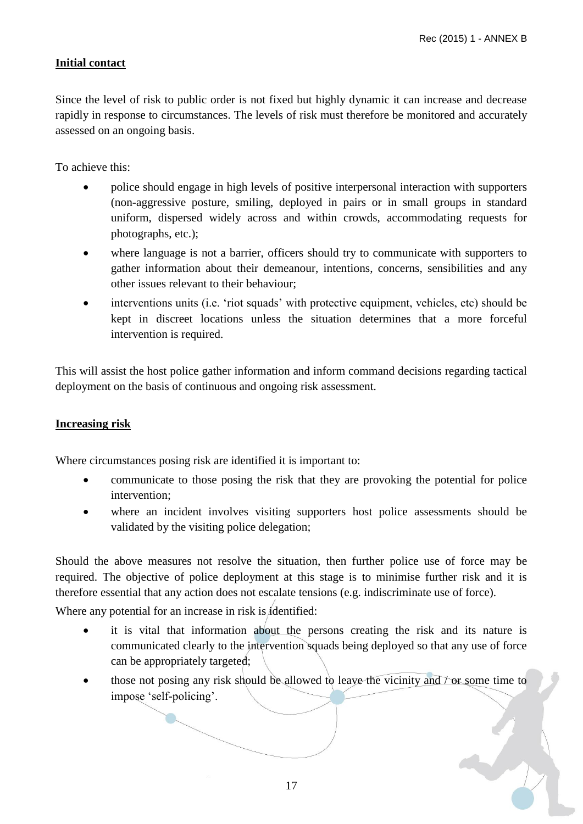## **Initial contact**

Since the level of risk to public order is not fixed but highly dynamic it can increase and decrease rapidly in response to circumstances. The levels of risk must therefore be monitored and accurately assessed on an ongoing basis.

To achieve this:

- police should engage in high levels of positive interpersonal interaction with supporters (non-aggressive posture, smiling, deployed in pairs or in small groups in standard uniform, dispersed widely across and within crowds, accommodating requests for photographs, etc.);
- where language is not a barrier, officers should try to communicate with supporters to gather information about their demeanour, intentions, concerns, sensibilities and any other issues relevant to their behaviour;
- interventions units (i.e. 'riot squads' with protective equipment, vehicles, etc) should be kept in discreet locations unless the situation determines that a more forceful intervention is required.

This will assist the host police gather information and inform command decisions regarding tactical deployment on the basis of continuous and ongoing risk assessment.

## **Increasing risk**

Where circumstances posing risk are identified it is important to:

- communicate to those posing the risk that they are provoking the potential for police intervention;
- where an incident involves visiting supporters host police assessments should be validated by the visiting police delegation;

Should the above measures not resolve the situation, then further police use of force may be required. The objective of police deployment at this stage is to minimise further risk and it is therefore essential that any action does not escalate tensions (e.g. indiscriminate use of force).

Where any potential for an increase in risk is *i*dentified:

- it is vital that information about the persons creating the risk and its nature is communicated clearly to the intervention squads being deployed so that any use of force can be appropriately targeted;
- $\bullet$  those not posing any risk should be allowed to leave the vicinity and  $\top$  or some time to impose 'self-policing'.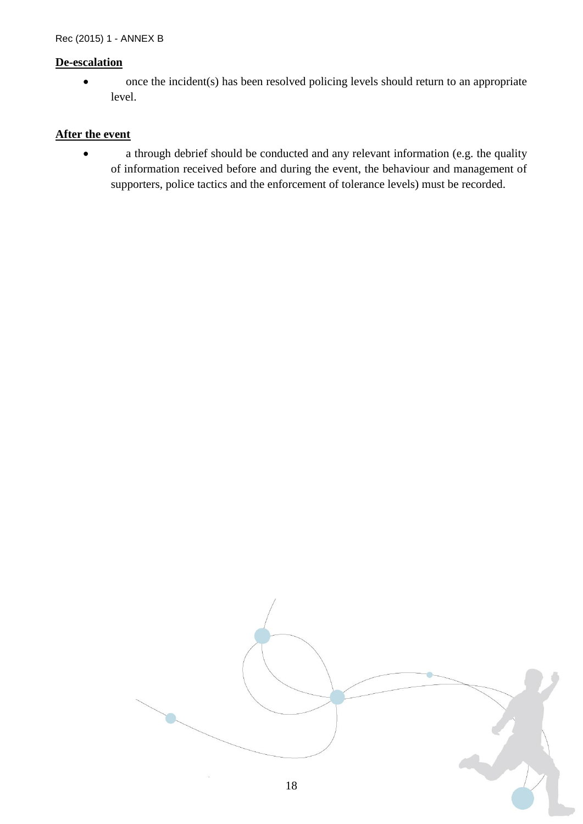#### **De-escalation**

• once the incident(s) has been resolved policing levels should return to an appropriate level.

## **After the event**

 a through debrief should be conducted and any relevant information (e.g. the quality of information received before and during the event, the behaviour and management of supporters, police tactics and the enforcement of tolerance levels) must be recorded.

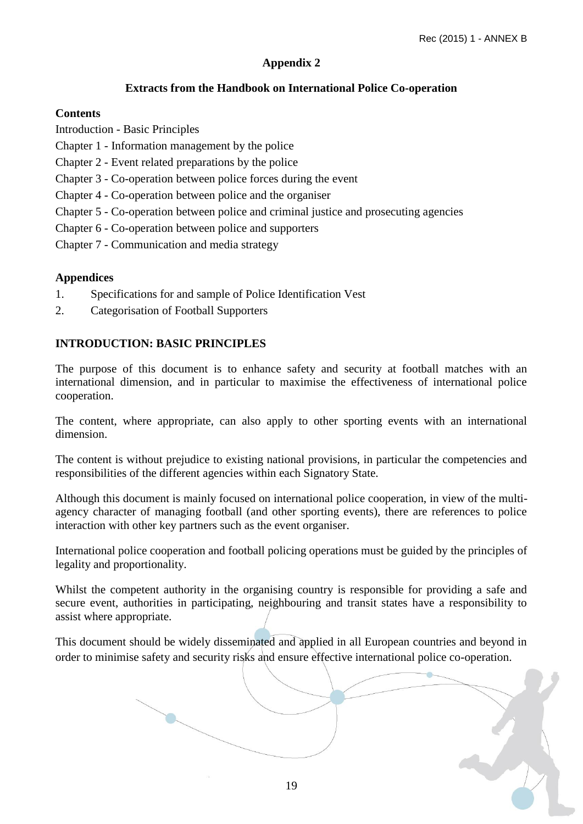## **Appendix 2**

## **Extracts from the Handbook on International Police Co-operation**

## <span id="page-18-1"></span><span id="page-18-0"></span>**Contents**

Introduction - Basic Principles

- Chapter 1 Information management by the police
- Chapter 2 Event related preparations by the police
- Chapter 3 Co-operation between police forces during the event
- Chapter 4 Co-operation between police and the organiser
- Chapter 5 Co-operation between police and criminal justice and prosecuting agencies
- Chapter 6 Co-operation between police and supporters
- Chapter 7 Communication and media strategy

## **Appendices**

- 1. Specifications for and sample of Police Identification Vest
- 2. Categorisation of Football Supporters

#### **INTRODUCTION: BASIC PRINCIPLES**

The purpose of this document is to enhance safety and security at football matches with an international dimension, and in particular to maximise the effectiveness of international police cooperation.

The content, where appropriate, can also apply to other sporting events with an international dimension.

The content is without prejudice to existing national provisions, in particular the competencies and responsibilities of the different agencies within each Signatory State.

Although this document is mainly focused on international police cooperation, in view of the multiagency character of managing football (and other sporting events), there are references to police interaction with other key partners such as the event organiser.

International police cooperation and football policing operations must be guided by the principles of legality and proportionality.

Whilst the competent authority in the organising country is responsible for providing a safe and secure event, authorities in participating, neighbouring and transit states have a responsibility to assist where appropriate.

This document should be widely disseminated and applied in all European countries and beyond in order to minimise safety and security risks and ensure effective international police co-operation.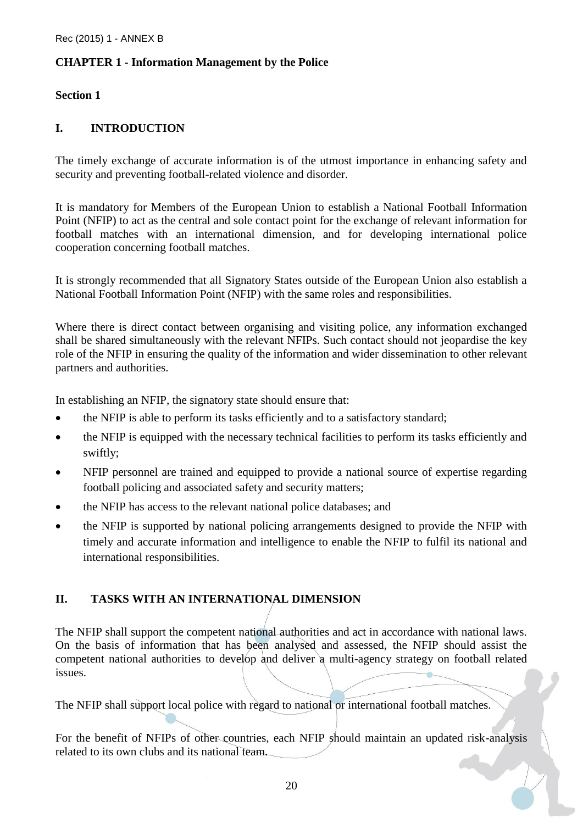## **CHAPTER 1 - Information Management by the Police**

### **Section 1**

## **I. INTRODUCTION**

The timely exchange of accurate information is of the utmost importance in enhancing safety and security and preventing football-related violence and disorder.

It is mandatory for Members of the European Union to establish a National Football Information Point (NFIP) to act as the central and sole contact point for the exchange of relevant information for football matches with an international dimension, and for developing international police cooperation concerning football matches.

It is strongly recommended that all Signatory States outside of the European Union also establish a National Football Information Point (NFIP) with the same roles and responsibilities.

Where there is direct contact between organising and visiting police, any information exchanged shall be shared simultaneously with the relevant NFIPs. Such contact should not jeopardise the key role of the NFIP in ensuring the quality of the information and wider dissemination to other relevant partners and authorities.

In establishing an NFIP, the signatory state should ensure that:

- the NFIP is able to perform its tasks efficiently and to a satisfactory standard;
- the NFIP is equipped with the necessary technical facilities to perform its tasks efficiently and swiftly;
- NFIP personnel are trained and equipped to provide a national source of expertise regarding football policing and associated safety and security matters;
- the NFIP has access to the relevant national police databases; and
- the NFIP is supported by national policing arrangements designed to provide the NFIP with timely and accurate information and intelligence to enable the NFIP to fulfil its national and international responsibilities.

## **II. TASKS WITH AN INTERNATIONAL DIMENSION**

The NFIP shall support the competent national authorities and act in accordance with national laws. On the basis of information that has been analysed and assessed, the NFIP should assist the competent national authorities to develop and deliver a multi-agency strategy on football related issues.

The NFIP shall support local police with regard to national or international football matches.

For the benefit of NFIPs of other countries, each NFIP should maintain an updated risk-analysis related to its own clubs and its national team.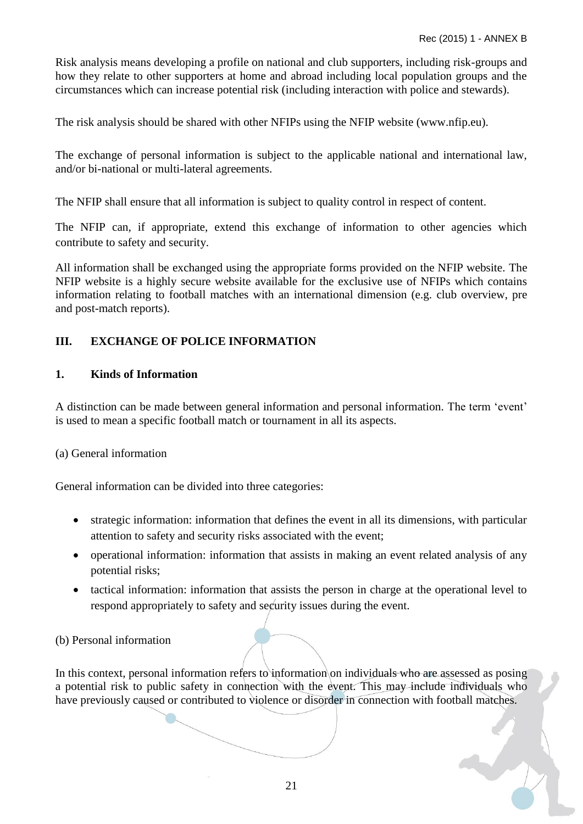24

Risk analysis means developing a profile on national and club supporters, including risk-groups and how they relate to other supporters at home and abroad including local population groups and the circumstances which can increase potential risk (including interaction with police and stewards).

The risk analysis should be shared with other NFIPs using the NFIP website (www.nfip.eu).

The exchange of personal information is subject to the applicable national and international law, and/or bi-national or multi-lateral agreements.

The NFIP shall ensure that all information is subject to quality control in respect of content.

The NFIP can, if appropriate, extend this exchange of information to other agencies which contribute to safety and security.

All information shall be exchanged using the appropriate forms provided on the NFIP website. The NFIP website is a highly secure website available for the exclusive use of NFIPs which contains information relating to football matches with an international dimension (e.g. club overview, pre and post-match reports).

## **III. EXCHANGE OF POLICE INFORMATION**

## **1. Kinds of Information**

A distinction can be made between general information and personal information. The term 'event' is used to mean a specific football match or tournament in all its aspects.

## (a) General information

General information can be divided into three categories:

- strategic information: information that defines the event in all its dimensions, with particular attention to safety and security risks associated with the event;
- operational information: information that assists in making an event related analysis of any potential risks;
- tactical information: information that assists the person in charge at the operational level to respond appropriately to safety and security issues during the event.

(b) Personal information

In this context, personal information refers to information on individuals who are assessed as posing a potential risk to public safety in connection with the event. This may include individuals who have previously caused or contributed to violence or disorder in connection with football matches.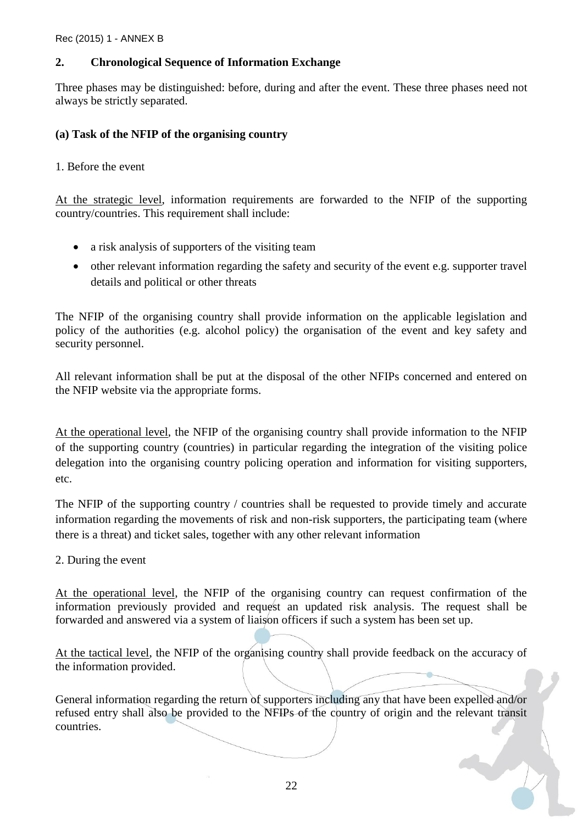## **2. Chronological Sequence of Information Exchange**

Three phases may be distinguished: before, during and after the event. These three phases need not always be strictly separated.

## **(a) Task of the NFIP of the organising country**

1. Before the event

At the strategic level, information requirements are forwarded to the NFIP of the supporting country/countries. This requirement shall include:

- a risk analysis of supporters of the visiting team
- other relevant information regarding the safety and security of the event e.g. supporter travel details and political or other threats

The NFIP of the organising country shall provide information on the applicable legislation and policy of the authorities (e.g. alcohol policy) the organisation of the event and key safety and security personnel.

All relevant information shall be put at the disposal of the other NFIPs concerned and entered on the NFIP website via the appropriate forms.

At the operational level, the NFIP of the organising country shall provide information to the NFIP of the supporting country (countries) in particular regarding the integration of the visiting police delegation into the organising country policing operation and information for visiting supporters, etc.

The NFIP of the supporting country / countries shall be requested to provide timely and accurate information regarding the movements of risk and non-risk supporters, the participating team (where there is a threat) and ticket sales, together with any other relevant information

2. During the event

At the operational level, the NFIP of the organising country can request confirmation of the information previously provided and request an updated risk analysis. The request shall be forwarded and answered via a system of liaison officers if such a system has been set up.

At the tactical level, the NFIP of the organising country shall provide feedback on the accuracy of the information provided.

General information regarding the return of supporters including any that have been expelled and/or refused entry shall also be provided to the NFIPs of the country of origin and the relevant transit countries.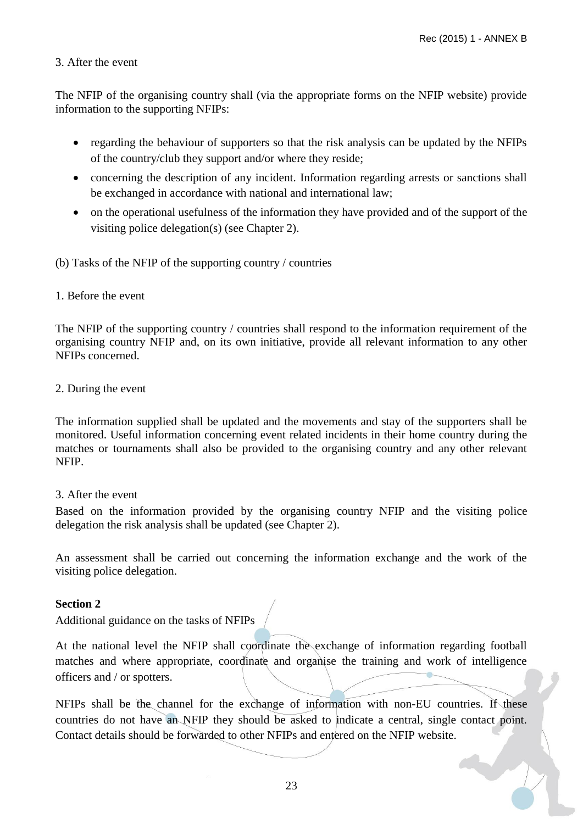### 3. After the event

The NFIP of the organising country shall (via the appropriate forms on the NFIP website) provide information to the supporting NFIPs:

- regarding the behaviour of supporters so that the risk analysis can be updated by the NFIPs of the country/club they support and/or where they reside;
- concerning the description of any incident. Information regarding arrests or sanctions shall be exchanged in accordance with national and international law;
- on the operational usefulness of the information they have provided and of the support of the visiting police delegation(s) (see Chapter 2).

(b) Tasks of the NFIP of the supporting country / countries

1. Before the event

The NFIP of the supporting country / countries shall respond to the information requirement of the organising country NFIP and, on its own initiative, provide all relevant information to any other NFIPs concerned.

2. During the event

The information supplied shall be updated and the movements and stay of the supporters shall be monitored. Useful information concerning event related incidents in their home country during the matches or tournaments shall also be provided to the organising country and any other relevant NFIP.

3. After the event

Based on the information provided by the organising country NFIP and the visiting police delegation the risk analysis shall be updated (see Chapter 2).

An assessment shall be carried out concerning the information exchange and the work of the visiting police delegation.

#### **Section 2**

Additional guidance on the tasks of NFIPs

At the national level the NFIP shall coordinate the exchange of information regarding football matches and where appropriate, coordinate and organise the training and work of intelligence officers and / or spotters.

NFIPs shall be the channel for the exchange of information with non-EU countries. If these countries do not have an NFIP they should be asked to indicate a central, single contact point. Contact details should be forwarded to other NFIPs and entered on the NFIP website.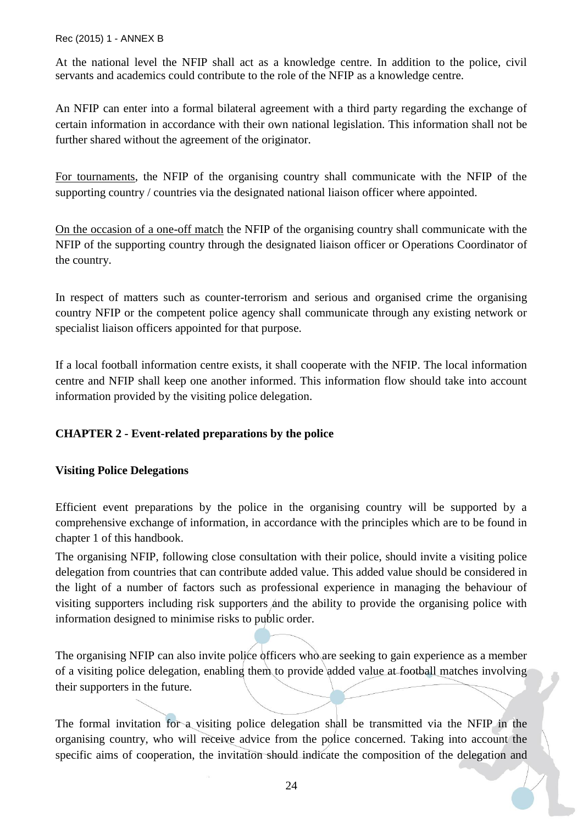At the national level the NFIP shall act as a knowledge centre. In addition to the police, civil servants and academics could contribute to the role of the NFIP as a knowledge centre.

An NFIP can enter into a formal bilateral agreement with a third party regarding the exchange of certain information in accordance with their own national legislation. This information shall not be further shared without the agreement of the originator.

For tournaments, the NFIP of the organising country shall communicate with the NFIP of the supporting country / countries via the designated national liaison officer where appointed.

On the occasion of a one-off match the NFIP of the organising country shall communicate with the NFIP of the supporting country through the designated liaison officer or Operations Coordinator of the country.

In respect of matters such as counter-terrorism and serious and organised crime the organising country NFIP or the competent police agency shall communicate through any existing network or specialist liaison officers appointed for that purpose.

If a local football information centre exists, it shall cooperate with the NFIP. The local information centre and NFIP shall keep one another informed. This information flow should take into account information provided by the visiting police delegation.

## **CHAPTER 2 - Event-related preparations by the police**

## **Visiting Police Delegations**

Efficient event preparations by the police in the organising country will be supported by a comprehensive exchange of information, in accordance with the principles which are to be found in chapter 1 of this handbook.

The organising NFIP, following close consultation with their police, should invite a visiting police delegation from countries that can contribute added value. This added value should be considered in the light of a number of factors such as professional experience in managing the behaviour of visiting supporters including risk supporters and the ability to provide the organising police with information designed to minimise risks to public order.

The organising NFIP can also invite police officers who are seeking to gain experience as a member of a visiting police delegation, enabling them to provide added value at football matches involving their supporters in the future.

The formal invitation for a visiting police delegation shall be transmitted via the NFIP in the organising country, who will receive advice from the police concerned. Taking into account the specific aims of cooperation, the invitation should indicate the composition of the delegation and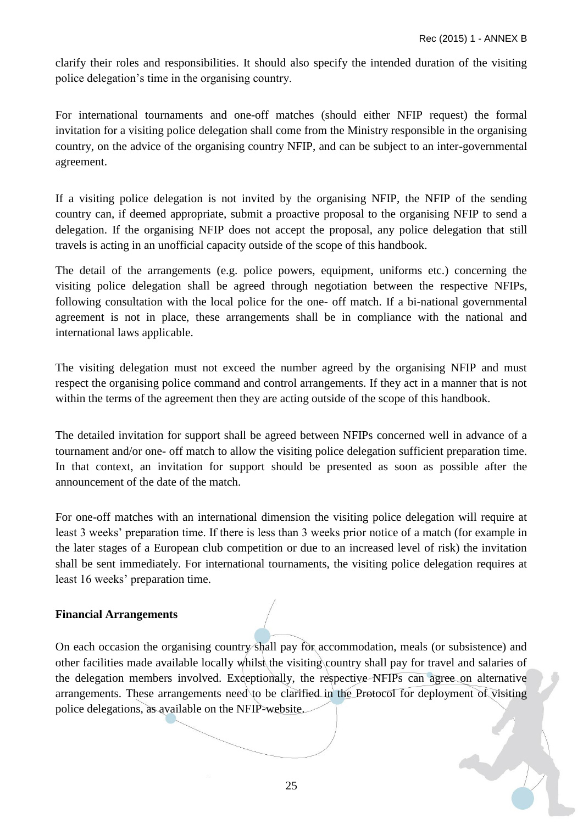clarify their roles and responsibilities. It should also specify the intended duration of the visiting police delegation's time in the organising country.

For international tournaments and one-off matches (should either NFIP request) the formal invitation for a visiting police delegation shall come from the Ministry responsible in the organising country, on the advice of the organising country NFIP, and can be subject to an inter-governmental agreement.

If a visiting police delegation is not invited by the organising NFIP, the NFIP of the sending country can, if deemed appropriate, submit a proactive proposal to the organising NFIP to send a delegation. If the organising NFIP does not accept the proposal, any police delegation that still travels is acting in an unofficial capacity outside of the scope of this handbook.

The detail of the arrangements (e.g. police powers, equipment, uniforms etc.) concerning the visiting police delegation shall be agreed through negotiation between the respective NFIPs, following consultation with the local police for the one- off match. If a bi-national governmental agreement is not in place, these arrangements shall be in compliance with the national and international laws applicable.

The visiting delegation must not exceed the number agreed by the organising NFIP and must respect the organising police command and control arrangements. If they act in a manner that is not within the terms of the agreement then they are acting outside of the scope of this handbook.

The detailed invitation for support shall be agreed between NFIPs concerned well in advance of a tournament and/or one- off match to allow the visiting police delegation sufficient preparation time. In that context, an invitation for support should be presented as soon as possible after the announcement of the date of the match.

For one-off matches with an international dimension the visiting police delegation will require at least 3 weeks' preparation time. If there is less than 3 weeks prior notice of a match (for example in the later stages of a European club competition or due to an increased level of risk) the invitation shall be sent immediately. For international tournaments, the visiting police delegation requires at least 16 weeks' preparation time.

## **Financial Arrangements**

On each occasion the organising country shall pay for accommodation, meals (or subsistence) and other facilities made available locally whilst the visiting country shall pay for travel and salaries of the delegation members involved. Exceptionally, the respective NFIPs can agree on alternative arrangements. These arrangements need to be clarified in the Protocol for deployment of visiting police delegations, as available on the NFIP-website.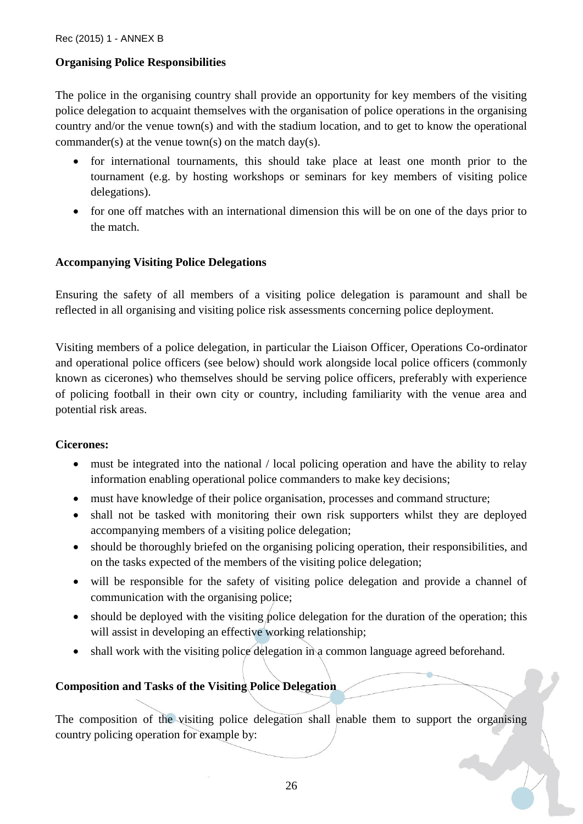## **Organising Police Responsibilities**

The police in the organising country shall provide an opportunity for key members of the visiting police delegation to acquaint themselves with the organisation of police operations in the organising country and/or the venue town(s) and with the stadium location, and to get to know the operational commander(s) at the venue town(s) on the match day(s).

- for international tournaments, this should take place at least one month prior to the tournament (e.g. by hosting workshops or seminars for key members of visiting police delegations).
- for one off matches with an international dimension this will be on one of the days prior to the match.

## **Accompanying Visiting Police Delegations**

Ensuring the safety of all members of a visiting police delegation is paramount and shall be reflected in all organising and visiting police risk assessments concerning police deployment.

Visiting members of a police delegation, in particular the Liaison Officer, Operations Co-ordinator and operational police officers (see below) should work alongside local police officers (commonly known as cicerones) who themselves should be serving police officers, preferably with experience of policing football in their own city or country, including familiarity with the venue area and potential risk areas.

#### **Cicerones:**

- must be integrated into the national / local policing operation and have the ability to relay information enabling operational police commanders to make key decisions;
- must have knowledge of their police organisation, processes and command structure;
- shall not be tasked with monitoring their own risk supporters whilst they are deployed accompanying members of a visiting police delegation;
- should be thoroughly briefed on the organising policing operation, their responsibilities, and on the tasks expected of the members of the visiting police delegation;
- will be responsible for the safety of visiting police delegation and provide a channel of communication with the organising police;
- $\bullet$  should be deployed with the visiting police delegation for the duration of the operation; this will assist in developing an effective working relationship;
- shall work with the visiting police delegation in a common language agreed beforehand.

## **Composition and Tasks of the Visiting Police Delegation**

The composition of the visiting police delegation shall enable them to support the organising country policing operation for example by: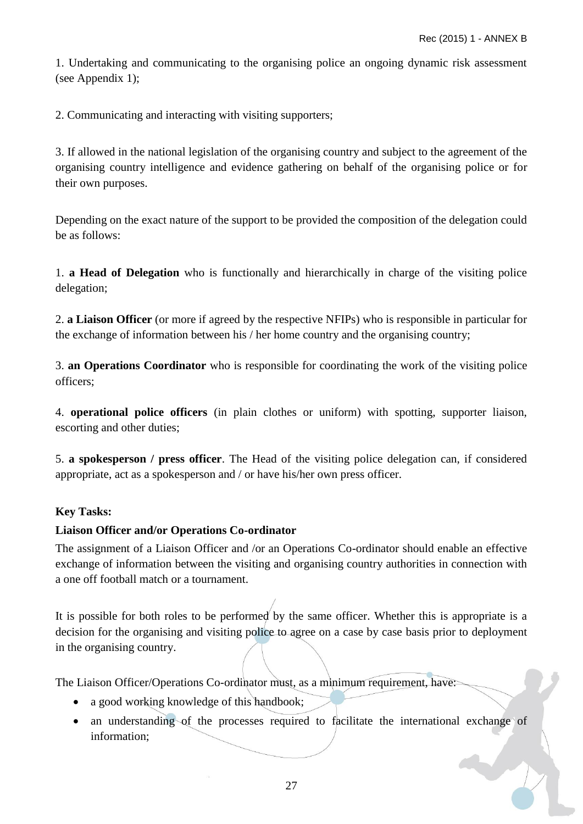1. Undertaking and communicating to the organising police an ongoing dynamic risk assessment (see Appendix 1);

2. Communicating and interacting with visiting supporters;

3. If allowed in the national legislation of the organising country and subject to the agreement of the organising country intelligence and evidence gathering on behalf of the organising police or for their own purposes.

Depending on the exact nature of the support to be provided the composition of the delegation could be as follows:

1. **a Head of Delegation** who is functionally and hierarchically in charge of the visiting police delegation;

2. **a Liaison Officer** (or more if agreed by the respective NFIPs) who is responsible in particular for the exchange of information between his / her home country and the organising country;

3. **an Operations Coordinator** who is responsible for coordinating the work of the visiting police officers;

4. **operational police officers** (in plain clothes or uniform) with spotting, supporter liaison, escorting and other duties;

5. **a spokesperson / press officer**. The Head of the visiting police delegation can, if considered appropriate, act as a spokesperson and / or have his/her own press officer.

## **Key Tasks:**

## **Liaison Officer and/or Operations Co-ordinator**

The assignment of a Liaison Officer and /or an Operations Co-ordinator should enable an effective exchange of information between the visiting and organising country authorities in connection with a one off football match or a tournament.

It is possible for both roles to be performed by the same officer. Whether this is appropriate is a decision for the organising and visiting police to agree on a case by case basis prior to deployment in the organising country.

The Liaison Officer/Operations Co-ordinator must, as a minimum requirement, have:

- a good working knowledge of this handbook:
- an understanding of the processes required to facilitate the international exchange of information;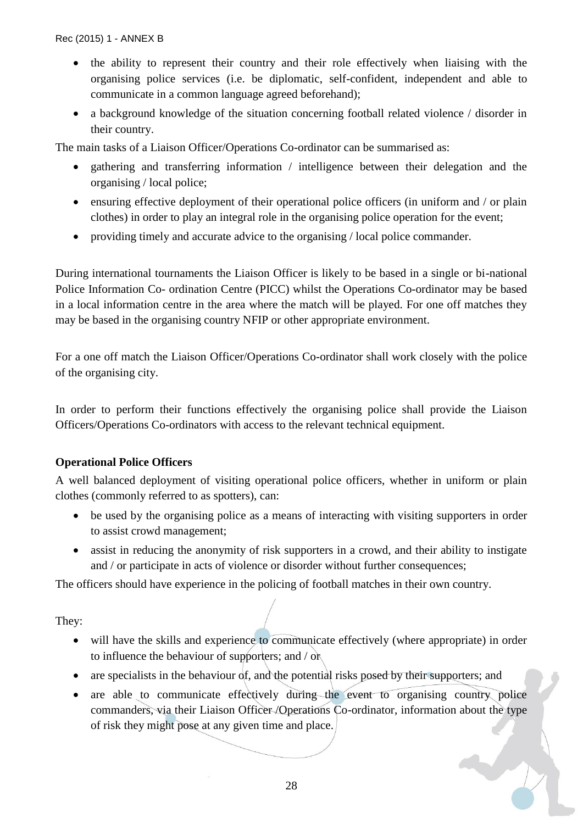- the ability to represent their country and their role effectively when liaising with the organising police services (i.e. be diplomatic, self-confident, independent and able to communicate in a common language agreed beforehand);
- a background knowledge of the situation concerning football related violence / disorder in their country.

The main tasks of a Liaison Officer/Operations Co-ordinator can be summarised as:

- gathering and transferring information / intelligence between their delegation and the organising / local police;
- ensuring effective deployment of their operational police officers (in uniform and / or plain clothes) in order to play an integral role in the organising police operation for the event;
- providing timely and accurate advice to the organising / local police commander.

During international tournaments the Liaison Officer is likely to be based in a single or bi-national Police Information Co- ordination Centre (PICC) whilst the Operations Co-ordinator may be based in a local information centre in the area where the match will be played. For one off matches they may be based in the organising country NFIP or other appropriate environment.

For a one off match the Liaison Officer/Operations Co-ordinator shall work closely with the police of the organising city.

In order to perform their functions effectively the organising police shall provide the Liaison Officers/Operations Co-ordinators with access to the relevant technical equipment.

## **Operational Police Officers**

A well balanced deployment of visiting operational police officers, whether in uniform or plain clothes (commonly referred to as spotters), can:

- be used by the organising police as a means of interacting with visiting supporters in order to assist crowd management;
- assist in reducing the anonymity of risk supporters in a crowd, and their ability to instigate and / or participate in acts of violence or disorder without further consequences;

The officers should have experience in the policing of football matches in their own country.

They:

- will have the skills and experience to communicate effectively (where appropriate) in order to influence the behaviour of supporters; and / or
- $\bullet$  are specialists in the behaviour of, and the potential risks posed by their supporters; and
- are able to communicate effectively during the event to organising country police commanders, via their Liaison Officer /Operations Co-ordinator, information about the type of risk they might pose at any given time and place.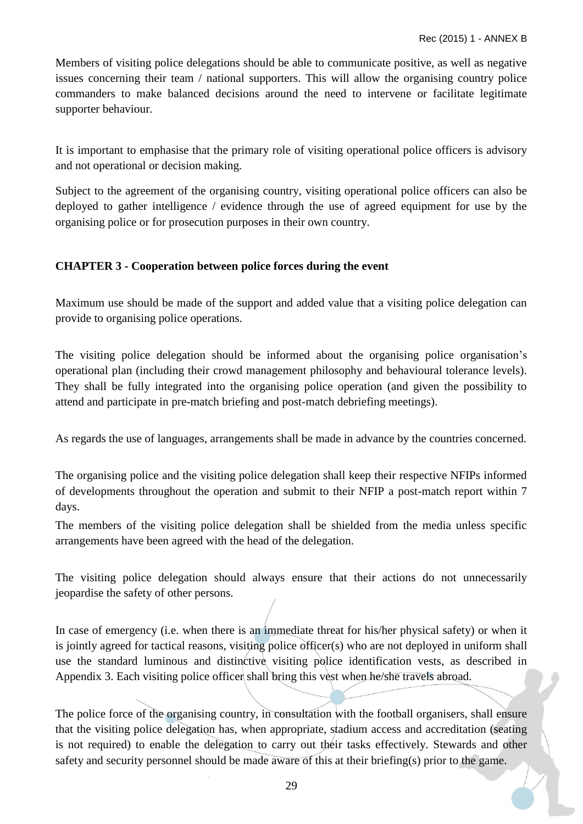Members of visiting police delegations should be able to communicate positive, as well as negative issues concerning their team / national supporters. This will allow the organising country police commanders to make balanced decisions around the need to intervene or facilitate legitimate supporter behaviour.

It is important to emphasise that the primary role of visiting operational police officers is advisory and not operational or decision making.

Subject to the agreement of the organising country, visiting operational police officers can also be deployed to gather intelligence / evidence through the use of agreed equipment for use by the organising police or for prosecution purposes in their own country.

## **CHAPTER 3 - Cooperation between police forces during the event**

Maximum use should be made of the support and added value that a visiting police delegation can provide to organising police operations.

The visiting police delegation should be informed about the organising police organisation's operational plan (including their crowd management philosophy and behavioural tolerance levels). They shall be fully integrated into the organising police operation (and given the possibility to attend and participate in pre-match briefing and post-match debriefing meetings).

As regards the use of languages, arrangements shall be made in advance by the countries concerned.

The organising police and the visiting police delegation shall keep their respective NFIPs informed of developments throughout the operation and submit to their NFIP a post-match report within 7 days.

The members of the visiting police delegation shall be shielded from the media unless specific arrangements have been agreed with the head of the delegation.

The visiting police delegation should always ensure that their actions do not unnecessarily jeopardise the safety of other persons.

In case of emergency (i.e. when there is an immediate threat for his/her physical safety) or when it is jointly agreed for tactical reasons, visiting police officer(s) who are not deployed in uniform shall use the standard luminous and distinctive visiting police identification vests, as described in Appendix 3. Each visiting police officer shall bring this vest when he/she travels abroad.

The police force of the organising country, in consultation with the football organisers, shall ensure that the visiting police delegation has, when appropriate, stadium access and accreditation (seating is not required) to enable the delegation to carry out their tasks effectively. Stewards and other safety and security personnel should be made aware of this at their briefing(s) prior to the game.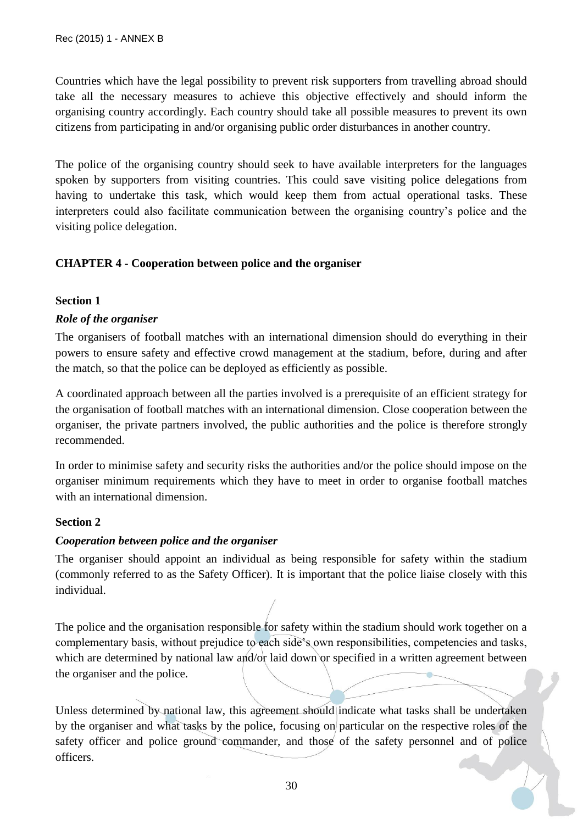Countries which have the legal possibility to prevent risk supporters from travelling abroad should take all the necessary measures to achieve this objective effectively and should inform the organising country accordingly. Each country should take all possible measures to prevent its own citizens from participating in and/or organising public order disturbances in another country.

The police of the organising country should seek to have available interpreters for the languages spoken by supporters from visiting countries. This could save visiting police delegations from having to undertake this task, which would keep them from actual operational tasks. These interpreters could also facilitate communication between the organising country's police and the visiting police delegation.

## **CHAPTER 4 - Cooperation between police and the organiser**

## **Section 1**

## *Role of the organiser*

The organisers of football matches with an international dimension should do everything in their powers to ensure safety and effective crowd management at the stadium, before, during and after the match, so that the police can be deployed as efficiently as possible.

A coordinated approach between all the parties involved is a prerequisite of an efficient strategy for the organisation of football matches with an international dimension. Close cooperation between the organiser, the private partners involved, the public authorities and the police is therefore strongly recommended.

In order to minimise safety and security risks the authorities and/or the police should impose on the organiser minimum requirements which they have to meet in order to organise football matches with an international dimension.

## **Section 2**

## *Cooperation between police and the organiser*

The organiser should appoint an individual as being responsible for safety within the stadium (commonly referred to as the Safety Officer). It is important that the police liaise closely with this individual.

The police and the organisation responsible for safety within the stadium should work together on a complementary basis, without prejudice to each side's own responsibilities, competencies and tasks, which are determined by national law and/or laid down or specified in a written agreement between the organiser and the police.

Unless determined by national law, this agreement should indicate what tasks shall be undertaken by the organiser and what tasks by the police, focusing on particular on the respective roles of the safety officer and police ground commander, and those of the safety personnel and of police officers.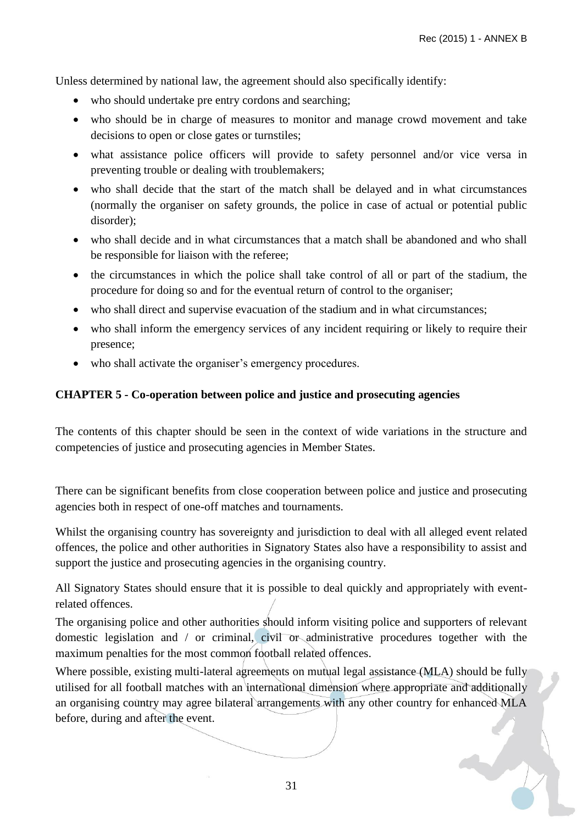Unless determined by national law, the agreement should also specifically identify:

- who should undertake pre entry cordons and searching;
- who should be in charge of measures to monitor and manage crowd movement and take decisions to open or close gates or turnstiles;
- what assistance police officers will provide to safety personnel and/or vice versa in preventing trouble or dealing with troublemakers;
- who shall decide that the start of the match shall be delayed and in what circumstances (normally the organiser on safety grounds, the police in case of actual or potential public disorder);
- who shall decide and in what circumstances that a match shall be abandoned and who shall be responsible for liaison with the referee;
- the circumstances in which the police shall take control of all or part of the stadium, the procedure for doing so and for the eventual return of control to the organiser;
- who shall direct and supervise evacuation of the stadium and in what circumstances;
- who shall inform the emergency services of any incident requiring or likely to require their presence;
- who shall activate the organiser's emergency procedures.

## **CHAPTER 5 - Co-operation between police and justice and prosecuting agencies**

The contents of this chapter should be seen in the context of wide variations in the structure and competencies of justice and prosecuting agencies in Member States.

There can be significant benefits from close cooperation between police and justice and prosecuting agencies both in respect of one-off matches and tournaments.

Whilst the organising country has sovereignty and jurisdiction to deal with all alleged event related offences, the police and other authorities in Signatory States also have a responsibility to assist and support the justice and prosecuting agencies in the organising country.

All Signatory States should ensure that it is possible to deal quickly and appropriately with eventrelated offences.

The organising police and other authorities should inform visiting police and supporters of relevant domestic legislation and / or criminal, civil or administrative procedures together with the maximum penalties for the most common football related offences.

Where possible, existing multi-lateral agreements on mutual legal assistance (MLA) should be fully utilised for all football matches with an international dimension where appropriate and additionally an organising country may agree bilateral arrangements with any other country for enhanced MLA before, during and after the event.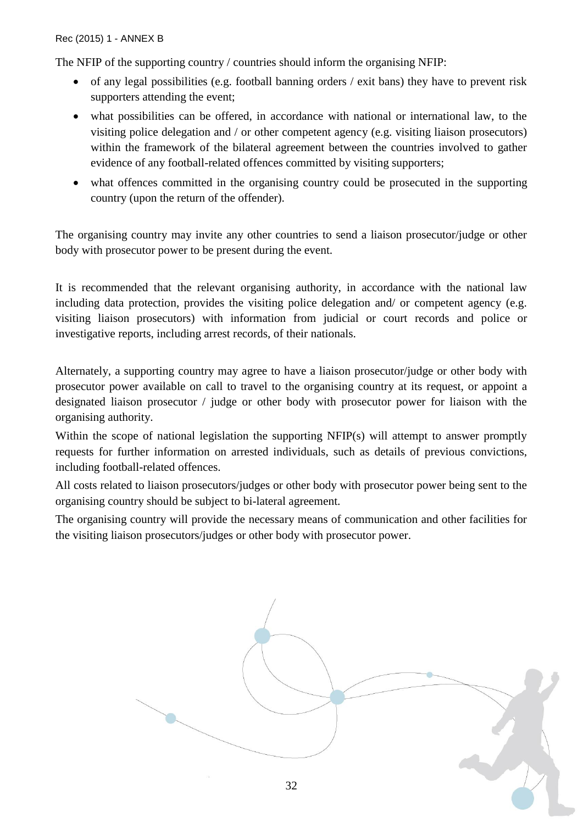The NFIP of the supporting country / countries should inform the organising NFIP:

- $\bullet$  of any legal possibilities (e.g. football banning orders / exit bans) they have to prevent risk supporters attending the event;
- what possibilities can be offered, in accordance with national or international law, to the visiting police delegation and / or other competent agency (e.g. visiting liaison prosecutors) within the framework of the bilateral agreement between the countries involved to gather evidence of any football-related offences committed by visiting supporters;
- what offences committed in the organising country could be prosecuted in the supporting country (upon the return of the offender).

The organising country may invite any other countries to send a liaison prosecutor/judge or other body with prosecutor power to be present during the event.

It is recommended that the relevant organising authority, in accordance with the national law including data protection, provides the visiting police delegation and/ or competent agency (e.g. visiting liaison prosecutors) with information from judicial or court records and police or investigative reports, including arrest records, of their nationals.

Alternately, a supporting country may agree to have a liaison prosecutor/judge or other body with prosecutor power available on call to travel to the organising country at its request, or appoint a designated liaison prosecutor / judge or other body with prosecutor power for liaison with the organising authority.

Within the scope of national legislation the supporting NFIP(s) will attempt to answer promptly requests for further information on arrested individuals, such as details of previous convictions, including football-related offences.

All costs related to liaison prosecutors/judges or other body with prosecutor power being sent to the organising country should be subject to bi-lateral agreement.

The organising country will provide the necessary means of communication and other facilities for the visiting liaison prosecutors/judges or other body with prosecutor power.

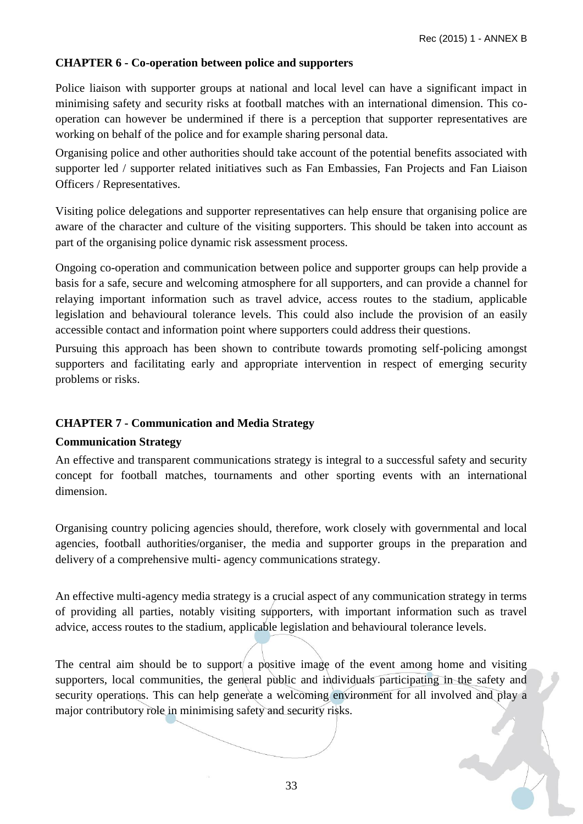## **CHAPTER 6 - Co-operation between police and supporters**

Police liaison with supporter groups at national and local level can have a significant impact in minimising safety and security risks at football matches with an international dimension. This cooperation can however be undermined if there is a perception that supporter representatives are working on behalf of the police and for example sharing personal data.

Organising police and other authorities should take account of the potential benefits associated with supporter led / supporter related initiatives such as Fan Embassies, Fan Projects and Fan Liaison Officers / Representatives.

Visiting police delegations and supporter representatives can help ensure that organising police are aware of the character and culture of the visiting supporters. This should be taken into account as part of the organising police dynamic risk assessment process.

Ongoing co-operation and communication between police and supporter groups can help provide a basis for a safe, secure and welcoming atmosphere for all supporters, and can provide a channel for relaying important information such as travel advice, access routes to the stadium, applicable legislation and behavioural tolerance levels. This could also include the provision of an easily accessible contact and information point where supporters could address their questions.

Pursuing this approach has been shown to contribute towards promoting self-policing amongst supporters and facilitating early and appropriate intervention in respect of emerging security problems or risks.

## **CHAPTER 7 - Communication and Media Strategy**

## **Communication Strategy**

An effective and transparent communications strategy is integral to a successful safety and security concept for football matches, tournaments and other sporting events with an international dimension.

Organising country policing agencies should, therefore, work closely with governmental and local agencies, football authorities/organiser, the media and supporter groups in the preparation and delivery of a comprehensive multi- agency communications strategy.

An effective multi-agency media strategy is a crucial aspect of any communication strategy in terms of providing all parties, notably visiting supporters, with important information such as travel advice, access routes to the stadium, applicable legislation and behavioural tolerance levels.

The central aim should be to support a positive image of the event among home and visiting supporters, local communities, the general public and individuals participating in the safety and security operations. This can help generate a welcoming environment for all involved and play a major contributory role in minimising safety and security risks.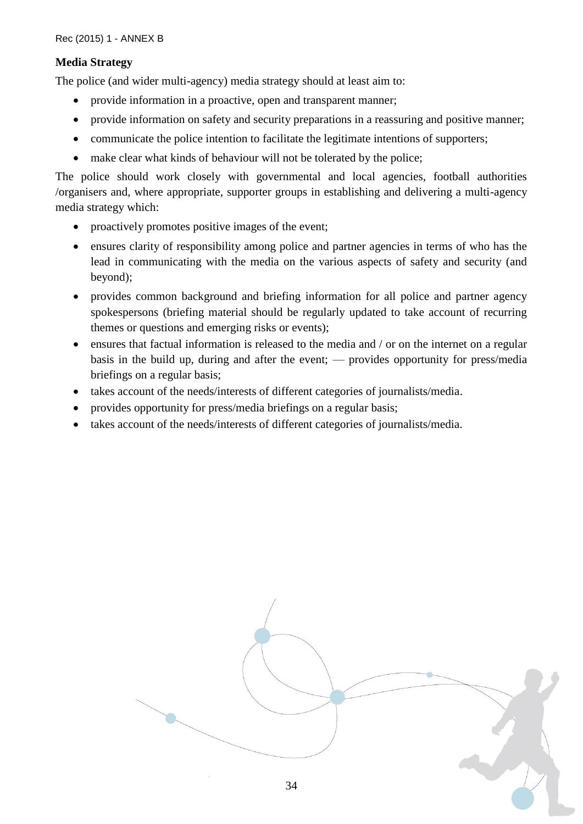## **Media Strategy**

The police (and wider multi-agency) media strategy should at least aim to:

- provide information in a proactive, open and transparent manner;
- provide information on safety and security preparations in a reassuring and positive manner;
- communicate the police intention to facilitate the legitimate intentions of supporters;
- make clear what kinds of behaviour will not be tolerated by the police;

The police should work closely with governmental and local agencies, football authorities /organisers and, where appropriate, supporter groups in establishing and delivering a multi-agency media strategy which:

- proactively promotes positive images of the event;
- ensures clarity of responsibility among police and partner agencies in terms of who has the lead in communicating with the media on the various aspects of safety and security (and beyond);
- provides common background and briefing information for all police and partner agency spokespersons (briefing material should be regularly updated to take account of recurring themes or questions and emerging risks or events);
- ensures that factual information is released to the media and / or on the internet on a regular basis in the build up, during and after the event; — provides opportunity for press/media briefings on a regular basis;
- takes account of the needs/interests of different categories of journalists/media.
- provides opportunity for press/media briefings on a regular basis;
- takes account of the needs/interests of different categories of journalists/media.

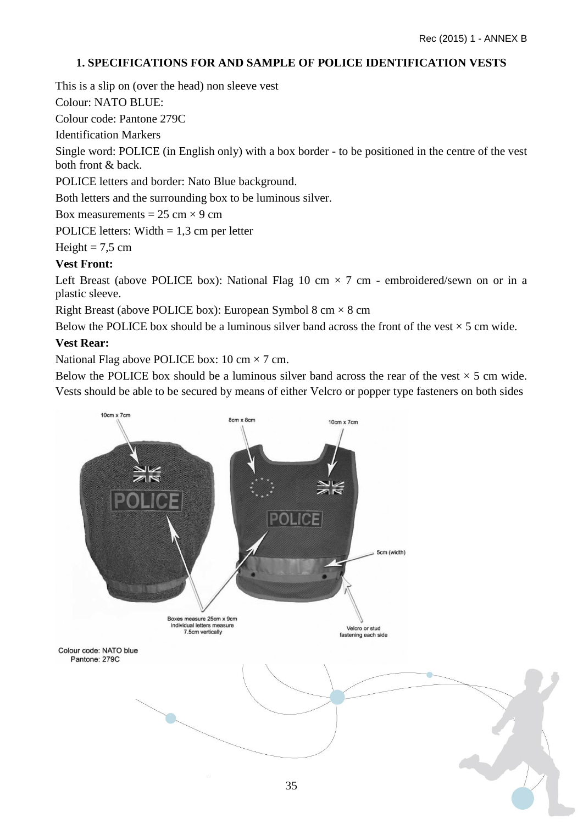## **1. SPECIFICATIONS FOR AND SAMPLE OF POLICE IDENTIFICATION VESTS**

This is a slip on (over the head) non sleeve vest

Colour: NATO BLUE:

Colour code: Pantone 279C

Identification Markers

Single word: POLICE (in English only) with a box border - to be positioned in the centre of the vest both front & back.

POLICE letters and border: Nato Blue background.

Both letters and the surrounding box to be luminous silver.

Box measurements =  $25 \text{ cm} \times 9 \text{ cm}$ 

POLICE letters: Width  $= 1.3$  cm per letter

Height =  $7,5$  cm

## **Vest Front:**

Left Breast (above POLICE box): National Flag 10 cm  $\times$  7 cm - embroidered/sewn on or in a plastic sleeve.

Right Breast (above POLICE box): European Symbol 8 cm  $\times$  8 cm

Below the POLICE box should be a luminous silver band across the front of the vest  $\times$  5 cm wide.

### **Vest Rear:**

National Flag above POLICE box: 10 cm  $\times$  7 cm.

Below the POLICE box should be a luminous silver band across the rear of the vest  $\times$  5 cm wide. Vests should be able to be secured by means of either Velcro or popper type fasteners on both sides